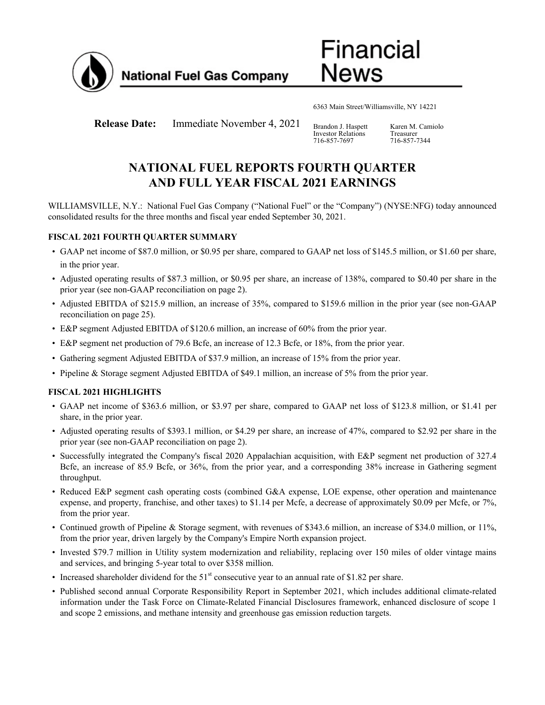

**National Fuel Gas Company** 

6363 Main Street/Williamsville, NY 14221

Financial

News

**Release Date:** Immediate November 4, 2021 Brandon J. Haspett

Investor Relations 716-857-7697

Karen M. Camiolo Treasurer 716-857-7344

# **NATIONAL FUEL REPORTS FOURTH QUARTER AND FULL YEAR FISCAL 2021 EARNINGS**

WILLIAMSVILLE, N.Y.: National Fuel Gas Company ("National Fuel" or the "Company") (NYSE:NFG) today announced consolidated results for the three months and fiscal year ended September 30, 2021.

## **FISCAL 2021 FOURTH QUARTER SUMMARY**

- GAAP net income of \$87.0 million, or \$0.95 per share, compared to GAAP net loss of \$145.5 million, or \$1.60 per share, in the prior year.
- Adjusted operating results of \$87.3 million, or \$0.95 per share, an increase of 138%, compared to \$0.40 per share in the prior year (see non-GAAP reconciliation on page 2).
- Adjusted EBITDA of \$215.9 million, an increase of 35%, compared to \$159.6 million in the prior year (see non-GAAP reconciliation on page 25).
- E&P segment Adjusted EBITDA of \$120.6 million, an increase of 60% from the prior year.
- E&P segment net production of 79.6 Bcfe, an increase of 12.3 Bcfe, or 18%, from the prior year.
- Gathering segment Adjusted EBITDA of \$37.9 million, an increase of 15% from the prior year.
- Pipeline & Storage segment Adjusted EBITDA of \$49.1 million, an increase of 5% from the prior year.

## **FISCAL 2021 HIGHLIGHTS**

- GAAP net income of \$363.6 million, or \$3.97 per share, compared to GAAP net loss of \$123.8 million, or \$1.41 per share, in the prior year.
- Adjusted operating results of \$393.1 million, or \$4.29 per share, an increase of 47%, compared to \$2.92 per share in the prior year (see non-GAAP reconciliation on page 2).
- Successfully integrated the Company's fiscal 2020 Appalachian acquisition, with E&P segment net production of 327.4 Bcfe, an increase of 85.9 Bcfe, or 36%, from the prior year, and a corresponding 38% increase in Gathering segment throughput.
- Reduced E&P segment cash operating costs (combined G&A expense, LOE expense, other operation and maintenance expense, and property, franchise, and other taxes) to \$1.14 per Mcfe, a decrease of approximately \$0.09 per Mcfe, or 7%, from the prior year.
- Continued growth of Pipeline & Storage segment, with revenues of \$343.6 million, an increase of \$34.0 million, or 11%, from the prior year, driven largely by the Company's Empire North expansion project.
- Invested \$79.7 million in Utility system modernization and reliability, replacing over 150 miles of older vintage mains and services, and bringing 5-year total to over \$358 million.
- Increased shareholder dividend for the  $51<sup>st</sup>$  consecutive year to an annual rate of \$1.82 per share.
- Published second annual Corporate Responsibility Report in September 2021, which includes additional climate-related information under the Task Force on Climate-Related Financial Disclosures framework, enhanced disclosure of scope 1 and scope 2 emissions, and methane intensity and greenhouse gas emission reduction targets.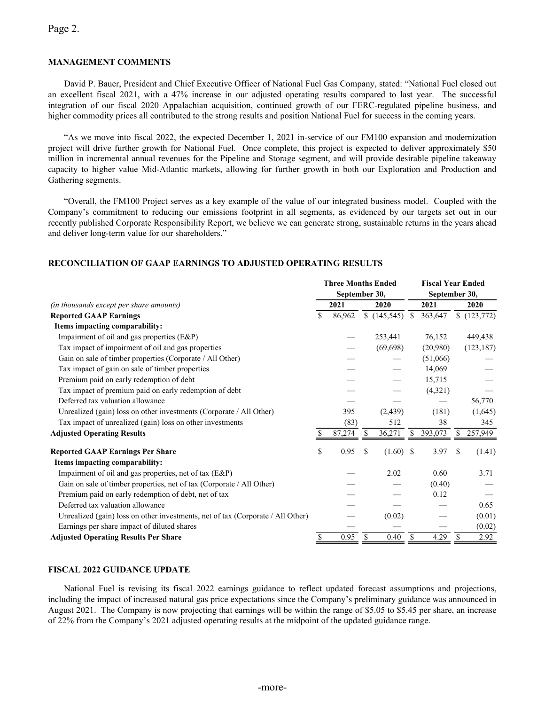## Page 2.

### **MANAGEMENT COMMENTS**

David P. Bauer, President and Chief Executive Officer of National Fuel Gas Company, stated: "National Fuel closed out an excellent fiscal 2021, with a 47% increase in our adjusted operating results compared to last year. The successful integration of our fiscal 2020 Appalachian acquisition, continued growth of our FERC-regulated pipeline business, and higher commodity prices all contributed to the strong results and position National Fuel for success in the coming years.

"As we move into fiscal 2022, the expected December 1, 2021 in-service of our FM100 expansion and modernization project will drive further growth for National Fuel. Once complete, this project is expected to deliver approximately \$50 million in incremental annual revenues for the Pipeline and Storage segment, and will provide desirable pipeline takeaway capacity to higher value Mid-Atlantic markets, allowing for further growth in both our Exploration and Production and Gathering segments.

"Overall, the FM100 Project serves as a key example of the value of our integrated business model. Coupled with the Company's commitment to reducing our emissions footprint in all segments, as evidenced by our targets set out in our recently published Corporate Responsibility Report, we believe we can generate strong, sustainable returns in the years ahead and deliver long-term value for our shareholders."

### **RECONCILIATION OF GAAP EARNINGS TO ADJUSTED OPERATING RESULTS**

|                                                                                 | <b>Three Months Ended</b> |        |    |           |               | <b>Fiscal Year Ended</b> |               |            |  |  |  |
|---------------------------------------------------------------------------------|---------------------------|--------|----|-----------|---------------|--------------------------|---------------|------------|--|--|--|
|                                                                                 | September 30,             |        |    |           |               |                          | September 30, |            |  |  |  |
| (in thousands except per share amounts)                                         |                           | 2021   |    | 2020      |               | 2021                     |               | 2020       |  |  |  |
| <b>Reported GAAP Earnings</b>                                                   | \$                        | 86,962 |    | (145,545) | <sup>\$</sup> | 363,647                  |               | (123,772)  |  |  |  |
| Items impacting comparability:                                                  |                           |        |    |           |               |                          |               |            |  |  |  |
| Impairment of oil and gas properties (E&P)                                      |                           |        |    | 253,441   |               | 76,152                   |               | 449,438    |  |  |  |
| Tax impact of impairment of oil and gas properties                              |                           |        |    | (69, 698) |               | (20,980)                 |               | (123, 187) |  |  |  |
| Gain on sale of timber properties (Corporate / All Other)                       |                           |        |    |           |               | (51,066)                 |               |            |  |  |  |
| Tax impact of gain on sale of timber properties                                 |                           |        |    |           |               | 14,069                   |               |            |  |  |  |
| Premium paid on early redemption of debt                                        |                           |        |    |           |               | 15,715                   |               |            |  |  |  |
| Tax impact of premium paid on early redemption of debt                          |                           |        |    |           |               | (4,321)                  |               |            |  |  |  |
| Deferred tax valuation allowance                                                |                           |        |    |           |               |                          |               | 56,770     |  |  |  |
| Unrealized (gain) loss on other investments (Corporate / All Other)             |                           | 395    |    | (2, 439)  |               | (181)                    |               | (1,645)    |  |  |  |
| Tax impact of unrealized (gain) loss on other investments                       |                           | (83)   |    | 512       |               | 38                       |               | 345        |  |  |  |
| <b>Adjusted Operating Results</b>                                               |                           | 87,274 | S. | 36,271    | S             | 393,073                  |               | 257,949    |  |  |  |
| <b>Reported GAAP Earnings Per Share</b>                                         | \$                        | 0.95   | S  | (1.60)    | \$            | 3.97                     | \$            | (1.41)     |  |  |  |
| Items impacting comparability:                                                  |                           |        |    |           |               |                          |               |            |  |  |  |
| Impairment of oil and gas properties, net of tax (E&P)                          |                           |        |    | 2.02      |               | 0.60                     |               | 3.71       |  |  |  |
| Gain on sale of timber properties, net of tax (Corporate / All Other)           |                           |        |    |           |               | (0.40)                   |               |            |  |  |  |
| Premium paid on early redemption of debt, net of tax                            |                           |        |    |           |               | 0.12                     |               |            |  |  |  |
| Deferred tax valuation allowance                                                |                           |        |    |           |               |                          |               | 0.65       |  |  |  |
| Unrealized (gain) loss on other investments, net of tax (Corporate / All Other) |                           |        |    | (0.02)    |               |                          |               | (0.01)     |  |  |  |
| Earnings per share impact of diluted shares                                     |                           |        |    |           |               |                          |               | (0.02)     |  |  |  |
| <b>Adjusted Operating Results Per Share</b>                                     |                           | 0.95   | S  | 0.40      | \$            | 4.29                     | \$            | 2.92       |  |  |  |

### **FISCAL 2022 GUIDANCE UPDATE**

National Fuel is revising its fiscal 2022 earnings guidance to reflect updated forecast assumptions and projections, including the impact of increased natural gas price expectations since the Company's preliminary guidance was announced in August 2021. The Company is now projecting that earnings will be within the range of \$5.05 to \$5.45 per share, an increase of 22% from the Company's 2021 adjusted operating results at the midpoint of the updated guidance range.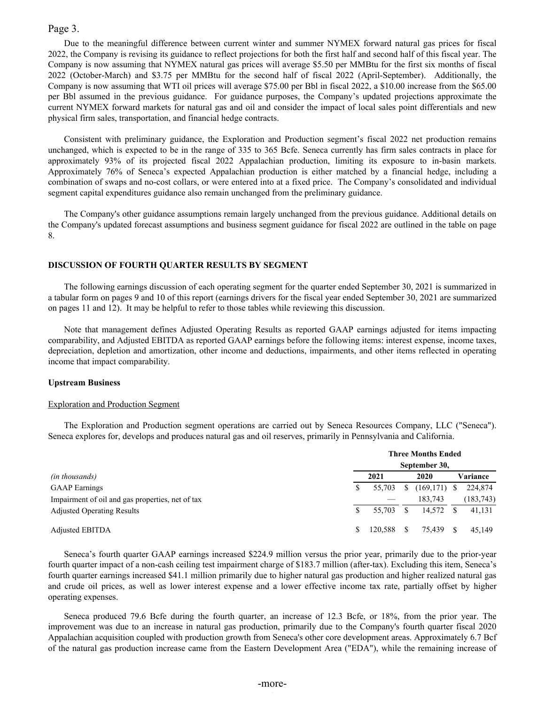### Page 3.

Due to the meaningful difference between current winter and summer NYMEX forward natural gas prices for fiscal 2022, the Company is revising its guidance to reflect projections for both the first half and second half of this fiscal year. The Company is now assuming that NYMEX natural gas prices will average \$5.50 per MMBtu for the first six months of fiscal 2022 (October-March) and \$3.75 per MMBtu for the second half of fiscal 2022 (April-September). Additionally, the Company is now assuming that WTI oil prices will average \$75.00 per Bbl in fiscal 2022, a \$10.00 increase from the \$65.00 per Bbl assumed in the previous guidance. For guidance purposes, the Company's updated projections approximate the current NYMEX forward markets for natural gas and oil and consider the impact of local sales point differentials and new physical firm sales, transportation, and financial hedge contracts.

Consistent with preliminary guidance, the Exploration and Production segment's fiscal 2022 net production remains unchanged, which is expected to be in the range of 335 to 365 Bcfe. Seneca currently has firm sales contracts in place for approximately 93% of its projected fiscal 2022 Appalachian production, limiting its exposure to in-basin markets. Approximately 76% of Seneca's expected Appalachian production is either matched by a financial hedge, including a combination of swaps and no-cost collars, or were entered into at a fixed price. The Company's consolidated and individual segment capital expenditures guidance also remain unchanged from the preliminary guidance.

The Company's other guidance assumptions remain largely unchanged from the previous guidance. Additional details on the Company's updated forecast assumptions and business segment guidance for fiscal 2022 are outlined in the table on page 8.

### **DISCUSSION OF FOURTH QUARTER RESULTS BY SEGMENT**

The following earnings discussion of each operating segment for the quarter ended September 30, 2021 is summarized in a tabular form on pages 9 and 10 of this report (earnings drivers for the fiscal year ended September 30, 2021 are summarized on pages 11 and 12). It may be helpful to refer to those tables while reviewing this discussion.

Note that management defines Adjusted Operating Results as reported GAAP earnings adjusted for items impacting comparability, and Adjusted EBITDA as reported GAAP earnings before the following items: interest expense, income taxes, depreciation, depletion and amortization, other income and deductions, impairments, and other items reflected in operating income that impact comparability.

#### **Upstream Business**

#### Exploration and Production Segment

The Exploration and Production segment operations are carried out by Seneca Resources Company, LLC ("Seneca"). Seneca explores for, develops and produces natural gas and oil reserves, primarily in Pennsylvania and California.

|                                                  |   |         |     | <b>Three Months Ended</b> |            |
|--------------------------------------------------|---|---------|-----|---------------------------|------------|
|                                                  |   |         |     | September 30,             |            |
| (in thousands)                                   |   | 2021    |     | 2020                      | Variance   |
| <b>GAAP</b> Earnings                             |   | 55.703  | S   | $(169,171)$ \$            | 224,874    |
| Impairment of oil and gas properties, net of tax |   |         |     | 183.743                   | (183, 743) |
| <b>Adjusted Operating Results</b>                |   | 55.703  |     | 14.572                    | 41,131     |
| <b>Adjusted EBITDA</b>                           | S | 120.588 | \$. | 75.439                    | 45.149     |

Seneca's fourth quarter GAAP earnings increased \$224.9 million versus the prior year, primarily due to the prior-year fourth quarter impact of a non-cash ceiling test impairment charge of \$183.7 million (after-tax). Excluding this item, Seneca's fourth quarter earnings increased \$41.1 million primarily due to higher natural gas production and higher realized natural gas and crude oil prices, as well as lower interest expense and a lower effective income tax rate, partially offset by higher operating expenses.

Seneca produced 79.6 Bcfe during the fourth quarter, an increase of 12.3 Bcfe, or 18%, from the prior year. The improvement was due to an increase in natural gas production, primarily due to the Company's fourth quarter fiscal 2020 Appalachian acquisition coupled with production growth from Seneca's other core development areas. Approximately 6.7 Bcf of the natural gas production increase came from the Eastern Development Area ("EDA"), while the remaining increase of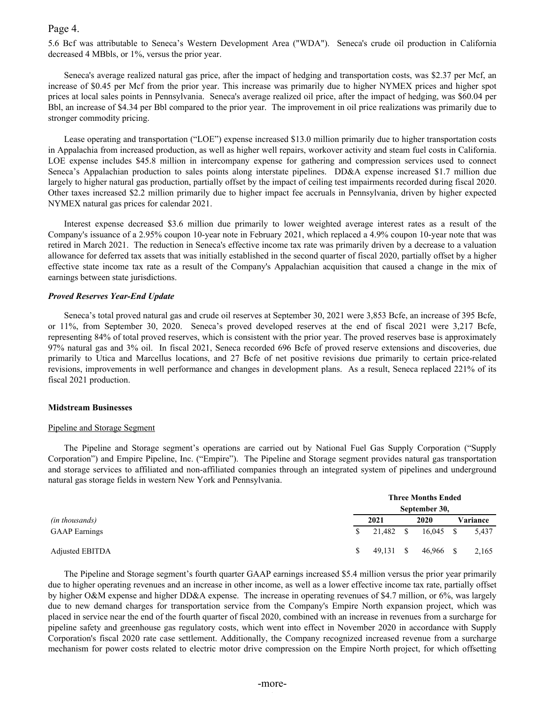## Page 4.

5.6 Bcf was attributable to Seneca's Western Development Area ("WDA"). Seneca's crude oil production in California decreased 4 MBbls, or 1%, versus the prior year.

Seneca's average realized natural gas price, after the impact of hedging and transportation costs, was \$2.37 per Mcf, an increase of \$0.45 per Mcf from the prior year. This increase was primarily due to higher NYMEX prices and higher spot prices at local sales points in Pennsylvania. Seneca's average realized oil price, after the impact of hedging, was \$60.04 per Bbl, an increase of \$4.34 per Bbl compared to the prior year. The improvement in oil price realizations was primarily due to stronger commodity pricing.

Lease operating and transportation ("LOE") expense increased \$13.0 million primarily due to higher transportation costs in Appalachia from increased production, as well as higher well repairs, workover activity and steam fuel costs in California. LOE expense includes \$45.8 million in intercompany expense for gathering and compression services used to connect Seneca's Appalachian production to sales points along interstate pipelines. DD&A expense increased \$1.7 million due largely to higher natural gas production, partially offset by the impact of ceiling test impairments recorded during fiscal 2020. Other taxes increased \$2.2 million primarily due to higher impact fee accruals in Pennsylvania, driven by higher expected NYMEX natural gas prices for calendar 2021.

Interest expense decreased \$3.6 million due primarily to lower weighted average interest rates as a result of the Company's issuance of a 2.95% coupon 10-year note in February 2021, which replaced a 4.9% coupon 10-year note that was retired in March 2021. The reduction in Seneca's effective income tax rate was primarily driven by a decrease to a valuation allowance for deferred tax assets that was initially established in the second quarter of fiscal 2020, partially offset by a higher effective state income tax rate as a result of the Company's Appalachian acquisition that caused a change in the mix of earnings between state jurisdictions.

### *Proved Reserves Year-End Update*

Seneca's total proved natural gas and crude oil reserves at September 30, 2021 were 3,853 Bcfe, an increase of 395 Bcfe, or 11%, from September 30, 2020. Seneca's proved developed reserves at the end of fiscal 2021 were 3,217 Bcfe, representing 84% of total proved reserves, which is consistent with the prior year. The proved reserves base is approximately 97% natural gas and 3% oil. In fiscal 2021, Seneca recorded 696 Bcfe of proved reserve extensions and discoveries, due primarily to Utica and Marcellus locations, and 27 Bcfe of net positive revisions due primarily to certain price-related revisions, improvements in well performance and changes in development plans. As a result, Seneca replaced 221% of its fiscal 2021 production.

### **Midstream Businesses**

### Pipeline and Storage Segment

The Pipeline and Storage segment's operations are carried out by National Fuel Gas Supply Corporation ("Supply Corporation") and Empire Pipeline, Inc. ("Empire"). The Pipeline and Storage segment provides natural gas transportation and storage services to affiliated and non-affiliated companies through an integrated system of pipelines and underground natural gas storage fields in western New York and Pennsylvania.

|                      |               | <b>Three Months Ended</b> |  |               |          |       |  |  |  |  |  |  |  |
|----------------------|---------------|---------------------------|--|---------------|----------|-------|--|--|--|--|--|--|--|
|                      |               |                           |  | September 30, |          |       |  |  |  |  |  |  |  |
| (in thousands)       |               | 2021                      |  | 2020          | Variance |       |  |  |  |  |  |  |  |
| <b>GAAP</b> Earnings | <sup>\$</sup> | 21,482 \$                 |  | $16,045$ \$   |          | 5,437 |  |  |  |  |  |  |  |
| Adjusted EBITDA      |               | $49,131$ \$               |  | 46,966 \$     |          | 2,165 |  |  |  |  |  |  |  |

The Pipeline and Storage segment's fourth quarter GAAP earnings increased \$5.4 million versus the prior year primarily due to higher operating revenues and an increase in other income, as well as a lower effective income tax rate, partially offset by higher O&M expense and higher DD&A expense. The increase in operating revenues of \$4.7 million, or 6%, was largely due to new demand charges for transportation service from the Company's Empire North expansion project, which was placed in service near the end of the fourth quarter of fiscal 2020, combined with an increase in revenues from a surcharge for pipeline safety and greenhouse gas regulatory costs, which went into effect in November 2020 in accordance with Supply Corporation's fiscal 2020 rate case settlement. Additionally, the Company recognized increased revenue from a surcharge mechanism for power costs related to electric motor drive compression on the Empire North project, for which offsetting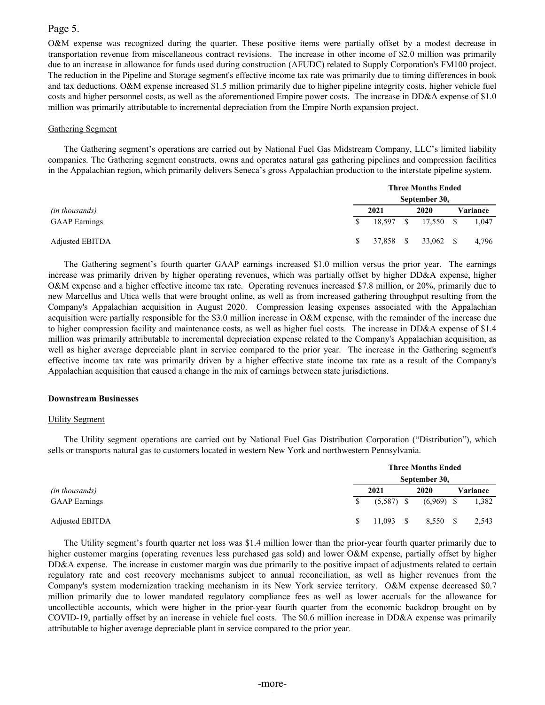## Page 5.

O&M expense was recognized during the quarter. These positive items were partially offset by a modest decrease in transportation revenue from miscellaneous contract revisions. The increase in other income of \$2.0 million was primarily due to an increase in allowance for funds used during construction (AFUDC) related to Supply Corporation's FM100 project. The reduction in the Pipeline and Storage segment's effective income tax rate was primarily due to timing differences in book and tax deductions. O&M expense increased \$1.5 million primarily due to higher pipeline integrity costs, higher vehicle fuel costs and higher personnel costs, as well as the aforementioned Empire power costs. The increase in DD&A expense of \$1.0 million was primarily attributable to incremental depreciation from the Empire North expansion project.

### Gathering Segment

The Gathering segment's operations are carried out by National Fuel Gas Midstream Company, LLC's limited liability companies. The Gathering segment constructs, owns and operates natural gas gathering pipelines and compression facilities in the Appalachian region, which primarily delivers Seneca's gross Appalachian production to the interstate pipeline system.

|                      | <b>Three Months Ended</b> |      |  |                     |  |          |  |  |  |  |  |  |
|----------------------|---------------------------|------|--|---------------------|--|----------|--|--|--|--|--|--|
|                      |                           |      |  | September 30,       |  |          |  |  |  |  |  |  |
| (in thousands)       |                           | 2021 |  | 2020                |  | Variance |  |  |  |  |  |  |
| <b>GAAP</b> Earnings | <sup>\$</sup>             |      |  | 18,597 \$ 17,550 \$ |  | 1,047    |  |  |  |  |  |  |
| Adjusted EBITDA      | S.                        |      |  | 37,858 \$ 33,062 \$ |  | 4,796    |  |  |  |  |  |  |

The Gathering segment's fourth quarter GAAP earnings increased \$1.0 million versus the prior year. The earnings increase was primarily driven by higher operating revenues, which was partially offset by higher DD&A expense, higher O&M expense and a higher effective income tax rate. Operating revenues increased \$7.8 million, or 20%, primarily due to new Marcellus and Utica wells that were brought online, as well as from increased gathering throughput resulting from the Company's Appalachian acquisition in August 2020. Compression leasing expenses associated with the Appalachian acquisition were partially responsible for the \$3.0 million increase in O&M expense, with the remainder of the increase due to higher compression facility and maintenance costs, as well as higher fuel costs. The increase in DD&A expense of \$1.4 million was primarily attributable to incremental depreciation expense related to the Company's Appalachian acquisition, as well as higher average depreciable plant in service compared to the prior year. The increase in the Gathering segment's effective income tax rate was primarily driven by a higher effective state income tax rate as a result of the Company's Appalachian acquisition that caused a change in the mix of earnings between state jurisdictions.

### **Downstream Businesses**

### Utility Segment

The Utility segment operations are carried out by National Fuel Gas Distribution Corporation ("Distribution"), which sells or transports natural gas to customers located in western New York and northwestern Pennsylvania.

|                      |    |              | <b>Three Months Ended</b> |               |  |          |
|----------------------|----|--------------|---------------------------|---------------|--|----------|
|                      |    |              |                           | September 30, |  |          |
| (in thousands)       |    | 2021         |                           | 2020          |  | Variance |
| <b>GAAP</b> Earnings | S. | $(5,587)$ \$ |                           | $(6,969)$ \$  |  | 1,382    |
| Adjusted EBITDA      |    | $11,093$ \$  |                           | 8,550 \$      |  | 2,543    |

The Utility segment's fourth quarter net loss was \$1.4 million lower than the prior-year fourth quarter primarily due to higher customer margins (operating revenues less purchased gas sold) and lower O&M expense, partially offset by higher DD&A expense. The increase in customer margin was due primarily to the positive impact of adjustments related to certain regulatory rate and cost recovery mechanisms subject to annual reconciliation, as well as higher revenues from the Company's system modernization tracking mechanism in its New York service territory. O&M expense decreased \$0.7 million primarily due to lower mandated regulatory compliance fees as well as lower accruals for the allowance for uncollectible accounts, which were higher in the prior-year fourth quarter from the economic backdrop brought on by COVID-19, partially offset by an increase in vehicle fuel costs. The \$0.6 million increase in DD&A expense was primarily attributable to higher average depreciable plant in service compared to the prior year.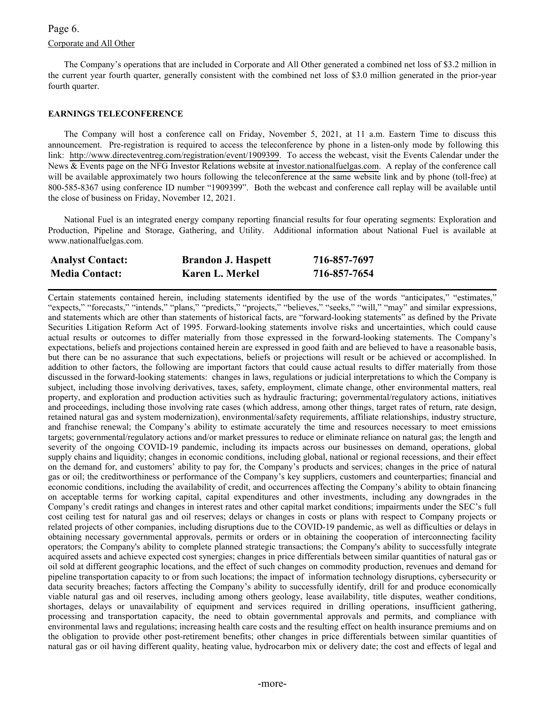# Corporate and All Other Page 6.

The Company's operations that are included in Corporate and All Other generated a combined net loss of \$3.2 million in the current year fourth quarter, generally consistent with the combined net loss of \$3.0 million generated in the prior-year fourth quarter.

### **EARNINGS TELECONFERENCE**

The Company will host a conference call on Friday, November 5, 2021, at 11 a.m. Eastern Time to discuss this announcement. Pre-registration is required to access the teleconference by phone in a listen-only mode by following this link: [http://www.directeventreg.com/registration/event/1909399.](http://www.directeventreg.com/registration/event/1909399) To access the webcast, visit the Events Calendar under the News & Events page on the NFG Investor Relations website at [investor.nationalfuelgas.com.](https://investor.nationalfuelgas.com/news-and-events/events-calendar/default.aspx) A replay of the conference call will be available approximately two hours following the teleconference at the same website link and by phone (toll-free) at 800-585-8367 using conference ID number "1909399". Both the webcast and conference call replay will be available until the close of business on Friday, November 12, 2021.

National Fuel is an integrated energy company reporting financial results for four operating segments: Exploration and Production, Pipeline and Storage, Gathering, and Utility. Additional information about National Fuel is available at www.nationalfuelgas.com.

| <b>Analyst Contact:</b> | <b>Brandon J. Haspett</b> | 716-857-7697 |
|-------------------------|---------------------------|--------------|
| <b>Media Contact:</b>   | Karen L. Merkel           | 716-857-7654 |

Certain statements contained herein, including statements identified by the use of the words "anticipates," "estimates," "expects," "forecasts," "intends," "plans," "predicts," "projects," "believes," "seeks," "will," "may" and similar expressions, and statements which are other than statements of historical facts, are "forward-looking statements" as defined by the Private Securities Litigation Reform Act of 1995. Forward-looking statements involve risks and uncertainties, which could cause actual results or outcomes to differ materially from those expressed in the forward-looking statements. The Company's expectations, beliefs and projections contained herein are expressed in good faith and are believed to have a reasonable basis, but there can be no assurance that such expectations, beliefs or projections will result or be achieved or accomplished. In addition to other factors, the following are important factors that could cause actual results to differ materially from those discussed in the forward-looking statements: changes in laws, regulations or judicial interpretations to which the Company is subject, including those involving derivatives, taxes, safety, employment, climate change, other environmental matters, real property, and exploration and production activities such as hydraulic fracturing; governmental/regulatory actions, initiatives and proceedings, including those involving rate cases (which address, among other things, target rates of return, rate design, retained natural gas and system modernization), environmental/safety requirements, affiliate relationships, industry structure, and franchise renewal; the Company's ability to estimate accurately the time and resources necessary to meet emissions targets; governmental/regulatory actions and/or market pressures to reduce or eliminate reliance on natural gas; the length and severity of the ongoing COVID-19 pandemic, including its impacts across our businesses on demand, operations, global supply chains and liquidity; changes in economic conditions, including global, national or regional recessions, and their effect on the demand for, and customers' ability to pay for, the Company's products and services; changes in the price of natural gas or oil; the creditworthiness or performance of the Company's key suppliers, customers and counterparties; financial and economic conditions, including the availability of credit, and occurrences affecting the Company's ability to obtain financing on acceptable terms for working capital, capital expenditures and other investments, including any downgrades in the Company's credit ratings and changes in interest rates and other capital market conditions; impairments under the SEC's full cost ceiling test for natural gas and oil reserves; delays or changes in costs or plans with respect to Company projects or related projects of other companies, including disruptions due to the COVID-19 pandemic, as well as difficulties or delays in obtaining necessary governmental approvals, permits or orders or in obtaining the cooperation of interconnecting facility operators; the Company's ability to complete planned strategic transactions; the Company's ability to successfully integrate acquired assets and achieve expected cost synergies; changes in price differentials between similar quantities of natural gas or oil sold at different geographic locations, and the effect of such changes on commodity production, revenues and demand for pipeline transportation capacity to or from such locations; the impact of information technology disruptions, cybersecurity or data security breaches; factors affecting the Company's ability to successfully identify, drill for and produce economically viable natural gas and oil reserves, including among others geology, lease availability, title disputes, weather conditions, shortages, delays or unavailability of equipment and services required in drilling operations, insufficient gathering, processing and transportation capacity, the need to obtain governmental approvals and permits, and compliance with environmental laws and regulations; increasing health care costs and the resulting effect on health insurance premiums and on the obligation to provide other post-retirement benefits; other changes in price differentials between similar quantities of natural gas or oil having different quality, heating value, hydrocarbon mix or delivery date; the cost and effects of legal and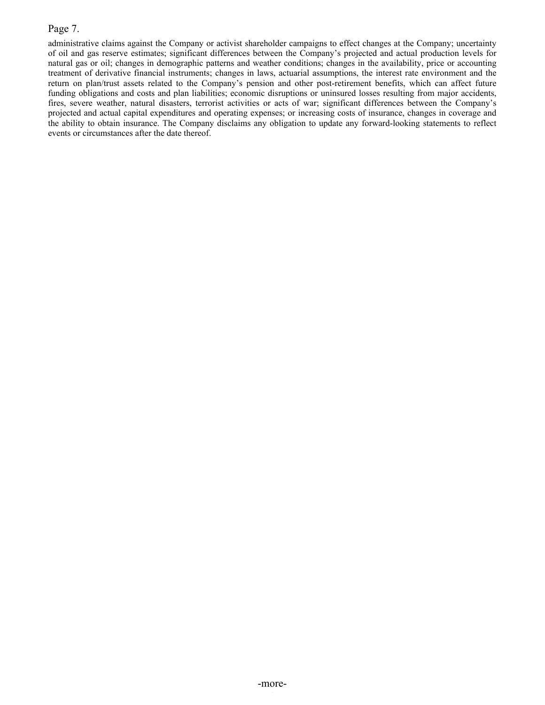# Page 7.

administrative claims against the Company or activist shareholder campaigns to effect changes at the Company; uncertainty of oil and gas reserve estimates; significant differences between the Company's projected and actual production levels for natural gas or oil; changes in demographic patterns and weather conditions; changes in the availability, price or accounting treatment of derivative financial instruments; changes in laws, actuarial assumptions, the interest rate environment and the return on plan/trust assets related to the Company's pension and other post-retirement benefits, which can affect future funding obligations and costs and plan liabilities; economic disruptions or uninsured losses resulting from major accidents, fires, severe weather, natural disasters, terrorist activities or acts of war; significant differences between the Company's projected and actual capital expenditures and operating expenses; or increasing costs of insurance, changes in coverage and the ability to obtain insurance. The Company disclaims any obligation to update any forward-looking statements to reflect events or circumstances after the date thereof.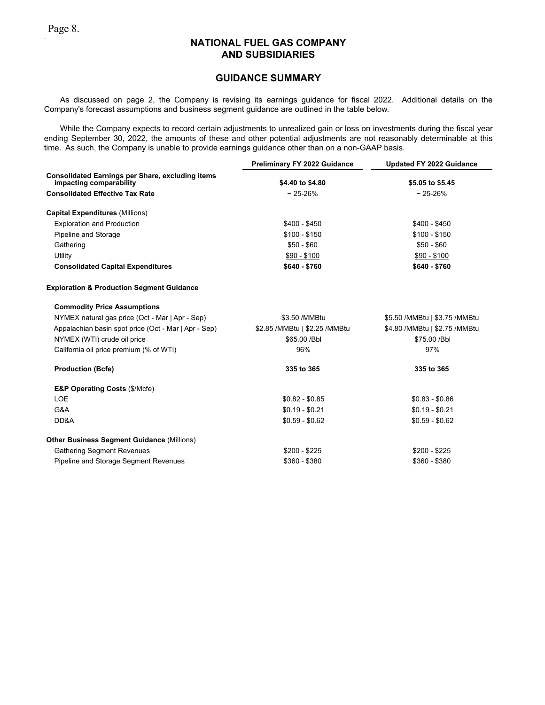### **GUIDANCE SUMMARY**

As discussed on page 2, the Company is revising its earnings guidance for fiscal 2022. Additional details on the Company's forecast assumptions and business segment guidance are outlined in the table below.

While the Company expects to record certain adjustments to unrealized gain or loss on investments during the fiscal year ending September 30, 2022, the amounts of these and other potential adjustments are not reasonably determinable at this time. As such, the Company is unable to provide earnings guidance other than on a non-GAAP basis.

|                                                                                    | <b>Preliminary FY 2022 Guidance</b> | <b>Updated FY 2022 Guidance</b> |
|------------------------------------------------------------------------------------|-------------------------------------|---------------------------------|
| <b>Consolidated Earnings per Share, excluding items</b><br>impacting comparability | \$4.40 to \$4.80                    | \$5.05 to \$5.45                |
|                                                                                    |                                     |                                 |
| <b>Consolidated Effective Tax Rate</b>                                             | $~25 - 26%$                         | $~25 - 26%$                     |
| <b>Capital Expenditures (Millions)</b>                                             |                                     |                                 |
| <b>Exploration and Production</b>                                                  | \$400 - \$450                       | $$400 - $450$                   |
| Pipeline and Storage                                                               | $$100 - $150$                       | $$100 - $150$                   |
| Gathering                                                                          | $$50 - $60$                         | $$50 - $60$                     |
| Utility                                                                            | $$90 - $100$                        | $$90 - $100$                    |
| <b>Consolidated Capital Expenditures</b>                                           | \$640 - \$760                       | \$640 - \$760                   |
| <b>Exploration &amp; Production Segment Guidance</b>                               |                                     |                                 |
| <b>Commodity Price Assumptions</b>                                                 |                                     |                                 |
| NYMEX natural gas price (Oct - Mar   Apr - Sep)                                    | \$3.50 / MMBtu                      | \$5.50 /MMBtu   \$3.75 /MMBtu   |
| Appalachian basin spot price (Oct - Mar   Apr - Sep)                               | \$2.85 /MMBtu   \$2.25 /MMBtu       | \$4.80 / MMBtu   \$2.75 / MMBtu |
| NYMEX (WTI) crude oil price                                                        | \$65.00 / Bbl                       | \$75.00 / Bbl                   |
| California oil price premium (% of WTI)                                            | 96%                                 | 97%                             |
| <b>Production (Bcfe)</b>                                                           | 335 to 365                          | 335 to 365                      |
| <b>E&amp;P Operating Costs (\$/Mcfe)</b>                                           |                                     |                                 |
| <b>LOE</b>                                                                         | $$0.82 - $0.85$                     | $$0.83 - $0.86$                 |
| G&A                                                                                | $$0.19 - $0.21$                     | $$0.19 - $0.21$                 |
| DD&A                                                                               | $$0.59 - $0.62$                     | $$0.59 - $0.62$                 |
| <b>Other Business Segment Guidance (Millions)</b>                                  |                                     |                                 |
| <b>Gathering Segment Revenues</b>                                                  | \$200 - \$225                       | $$200 - $225$                   |
| Pipeline and Storage Segment Revenues                                              | \$360 - \$380                       | $$360 - $380$                   |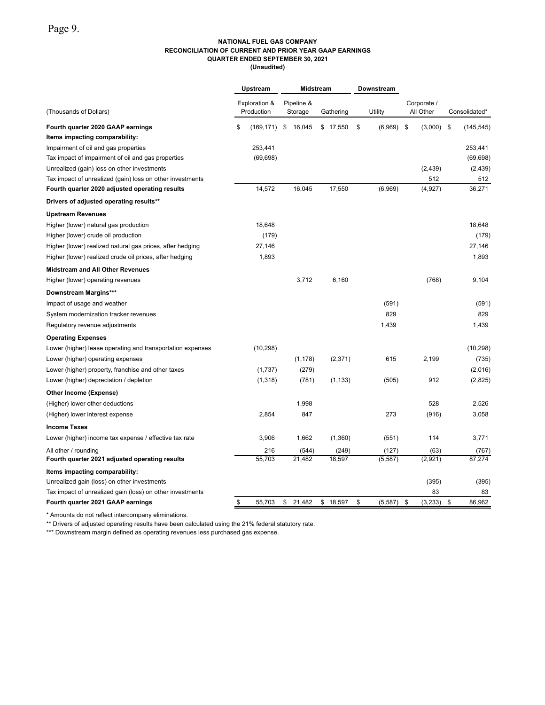#### **NATIONAL FUEL GAS COMPANY RECONCILIATION OF CURRENT AND PRIOR YEAR GAAP EARNINGS QUARTER ENDED SEPTEMBER 30, 2021 (Unaudited)**

|                                                            | Upstream                    | Midstream             |           | Downstream     |                          |                  |
|------------------------------------------------------------|-----------------------------|-----------------------|-----------|----------------|--------------------------|------------------|
| (Thousands of Dollars)                                     | Exploration &<br>Production | Pipeline &<br>Storage | Gathering | Utility        | Corporate /<br>All Other | Consolidated*    |
| Fourth quarter 2020 GAAP earnings                          | \$<br>(169,171)             | \$<br>16,045          | \$17,550  | \$<br>(6,969)  | \$<br>(3,000)            | \$<br>(145, 545) |
| Items impacting comparability:                             |                             |                       |           |                |                          |                  |
| Impairment of oil and gas properties                       | 253,441                     |                       |           |                |                          | 253,441          |
| Tax impact of impairment of oil and gas properties         | (69, 698)                   |                       |           |                |                          | (69, 698)        |
| Unrealized (gain) loss on other investments                |                             |                       |           |                | (2, 439)                 | (2, 439)         |
| Tax impact of unrealized (gain) loss on other investments  |                             |                       |           |                | 512                      | 512              |
| Fourth quarter 2020 adjusted operating results             | 14,572                      | 16,045                | 17,550    | (6,969)        | (4, 927)                 | 36,271           |
| Drivers of adjusted operating results**                    |                             |                       |           |                |                          |                  |
| <b>Upstream Revenues</b>                                   |                             |                       |           |                |                          |                  |
| Higher (lower) natural gas production                      | 18,648                      |                       |           |                |                          | 18.648           |
| Higher (lower) crude oil production                        | (179)                       |                       |           |                |                          | (179)            |
| Higher (lower) realized natural gas prices, after hedging  | 27,146                      |                       |           |                |                          | 27,146           |
| Higher (lower) realized crude oil prices, after hedging    | 1,893                       |                       |           |                |                          | 1,893            |
| <b>Midstream and All Other Revenues</b>                    |                             |                       |           |                |                          |                  |
| Higher (lower) operating revenues                          |                             | 3,712                 | 6,160     |                | (768)                    | 9,104            |
| <b>Downstream Margins***</b>                               |                             |                       |           |                |                          |                  |
| Impact of usage and weather                                |                             |                       |           | (591)          |                          | (591)            |
| System modernization tracker revenues                      |                             |                       |           | 829            |                          | 829              |
| Regulatory revenue adjustments                             |                             |                       |           | 1,439          |                          | 1,439            |
| <b>Operating Expenses</b>                                  |                             |                       |           |                |                          |                  |
| Lower (higher) lease operating and transportation expenses | (10, 298)                   |                       |           |                |                          | (10, 298)        |
| Lower (higher) operating expenses                          |                             | (1, 178)              | (2, 371)  | 615            | 2,199                    | (735)            |
| Lower (higher) property, franchise and other taxes         | (1,737)                     | (279)                 |           |                |                          | (2,016)          |
| Lower (higher) depreciation / depletion                    | (1,318)                     | (781)                 | (1, 133)  | (505)          | 912                      | (2,825)          |
| Other Income (Expense)                                     |                             |                       |           |                |                          |                  |
| (Higher) lower other deductions                            |                             | 1,998                 |           |                | 528                      | 2,526            |
| (Higher) lower interest expense                            | 2,854                       | 847                   |           | 273            | (916)                    | 3,058            |
| <b>Income Taxes</b>                                        |                             |                       |           |                |                          |                  |
| Lower (higher) income tax expense / effective tax rate     | 3,906                       | 1,662                 | (1,360)   | (551)          | 114                      | 3,771            |
| All other / rounding                                       | 216                         | (544)                 | (249)     | (127)          | (63)                     | (767)            |
| Fourth quarter 2021 adjusted operating results             | 55,703                      | 21,482                | 18,597    | (5, 587)       | (2,921)                  | 87,274           |
| Items impacting comparability:                             |                             |                       |           |                |                          |                  |
| Unrealized gain (loss) on other investments                |                             |                       |           |                | (395)                    | (395)            |
| Tax impact of unrealized gain (loss) on other investments  |                             |                       |           |                | 83                       | 83               |
| Fourth quarter 2021 GAAP earnings                          | \$<br>55,703                | \$<br>21,482          | \$18,597  | \$<br>(5, 587) | \$<br>(3,233)            | \$<br>86,962     |

\* Amounts do not reflect intercompany eliminations.

\*\* Drivers of adjusted operating results have been calculated using the 21% federal statutory rate.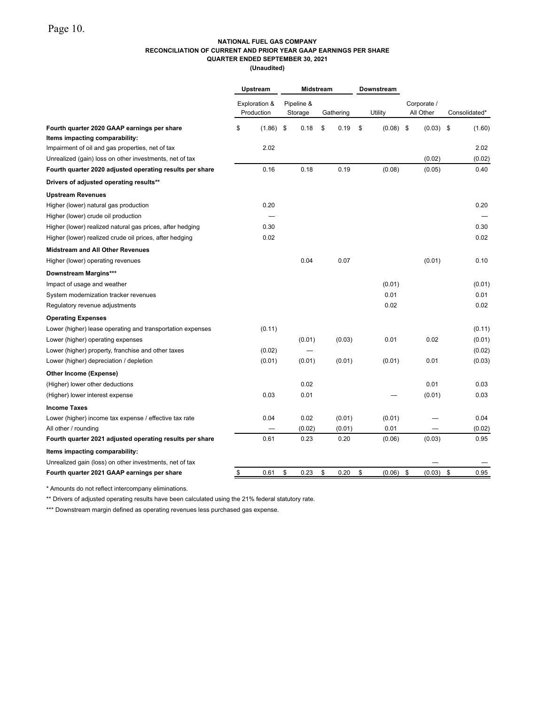### **NATIONAL FUEL GAS COMPANY RECONCILIATION OF CURRENT AND PRIOR YEAR GAAP EARNINGS PER SHARE QUARTER ENDED SEPTEMBER 30, 2021**

**(Unaudited)**

|                                                                               | Upstream      |                             |     | <b>Midstream</b>      |    |           | <b>Downstream</b> |         |                          |               |
|-------------------------------------------------------------------------------|---------------|-----------------------------|-----|-----------------------|----|-----------|-------------------|---------|--------------------------|---------------|
|                                                                               |               | Exploration &<br>Production |     | Pipeline &<br>Storage |    | Gathering |                   | Utility | Corporate /<br>All Other | Consolidated* |
| Fourth quarter 2020 GAAP earnings per share<br>Items impacting comparability: | \$            | (1.86)                      | -\$ | 0.18                  | \$ | 0.19      | \$                | (0.08)  | \$<br>(0.03)             | \$<br>(1.60)  |
| Impairment of oil and gas properties, net of tax                              |               | 2.02                        |     |                       |    |           |                   |         |                          | 2.02          |
| Unrealized (gain) loss on other investments, net of tax                       |               |                             |     |                       |    |           |                   |         | (0.02)                   | (0.02)        |
| Fourth quarter 2020 adjusted operating results per share                      |               | 0.16                        |     | 0.18                  |    | 0.19      |                   | (0.08)  | (0.05)                   | 0.40          |
| Drivers of adjusted operating results**                                       |               |                             |     |                       |    |           |                   |         |                          |               |
| <b>Upstream Revenues</b>                                                      |               |                             |     |                       |    |           |                   |         |                          |               |
| Higher (lower) natural gas production                                         |               | 0.20                        |     |                       |    |           |                   |         |                          | 0.20          |
| Higher (lower) crude oil production                                           |               |                             |     |                       |    |           |                   |         |                          |               |
| Higher (lower) realized natural gas prices, after hedging                     |               | 0.30                        |     |                       |    |           |                   |         |                          | 0.30          |
| Higher (lower) realized crude oil prices, after hedging                       |               | 0.02                        |     |                       |    |           |                   |         |                          | 0.02          |
| <b>Midstream and All Other Revenues</b>                                       |               |                             |     |                       |    |           |                   |         |                          |               |
| Higher (lower) operating revenues                                             |               |                             |     | 0.04                  |    | 0.07      |                   |         | (0.01)                   | 0.10          |
| <b>Downstream Margins***</b>                                                  |               |                             |     |                       |    |           |                   |         |                          |               |
| Impact of usage and weather                                                   |               |                             |     |                       |    |           |                   | (0.01)  |                          | (0.01)        |
| System modernization tracker revenues                                         |               |                             |     |                       |    |           |                   | 0.01    |                          | 0.01          |
| Regulatory revenue adjustments                                                |               |                             |     |                       |    |           |                   | 0.02    |                          | 0.02          |
| <b>Operating Expenses</b>                                                     |               |                             |     |                       |    |           |                   |         |                          |               |
| Lower (higher) lease operating and transportation expenses                    |               | (0.11)                      |     |                       |    |           |                   |         |                          | (0.11)        |
| Lower (higher) operating expenses                                             |               |                             |     | (0.01)                |    | (0.03)    |                   | 0.01    | 0.02                     | (0.01)        |
| Lower (higher) property, franchise and other taxes                            |               | (0.02)                      |     |                       |    |           |                   |         |                          | (0.02)        |
| Lower (higher) depreciation / depletion                                       |               | (0.01)                      |     | (0.01)                |    | (0.01)    |                   | (0.01)  | 0.01                     | (0.03)        |
| Other Income (Expense)                                                        |               |                             |     |                       |    |           |                   |         |                          |               |
| (Higher) lower other deductions                                               |               |                             |     | 0.02                  |    |           |                   |         | 0.01                     | 0.03          |
| (Higher) lower interest expense                                               |               | 0.03                        |     | 0.01                  |    |           |                   |         | (0.01)                   | 0.03          |
| <b>Income Taxes</b>                                                           |               |                             |     |                       |    |           |                   |         |                          |               |
| Lower (higher) income tax expense / effective tax rate                        |               | 0.04                        |     | 0.02                  |    | (0.01)    |                   | (0.01)  |                          | 0.04          |
| All other / rounding                                                          |               |                             |     | (0.02)                |    | (0.01)    |                   | 0.01    |                          | (0.02)        |
| Fourth quarter 2021 adjusted operating results per share                      |               | 0.61                        |     | 0.23                  |    | 0.20      |                   | (0.06)  | (0.03)                   | 0.95          |
| Items impacting comparability:                                                |               |                             |     |                       |    |           |                   |         |                          |               |
| Unrealized gain (loss) on other investments, net of tax                       |               |                             |     |                       |    |           |                   |         |                          |               |
| Fourth quarter 2021 GAAP earnings per share                                   | $\frac{1}{2}$ | 0.61                        | \$  | 0.23                  | \$ | 0.20      | \$                | (0.06)  | \$<br>(0.03)             | \$<br>0.95    |

\* Amounts do not reflect intercompany eliminations.

\*\* Drivers of adjusted operating results have been calculated using the 21% federal statutory rate.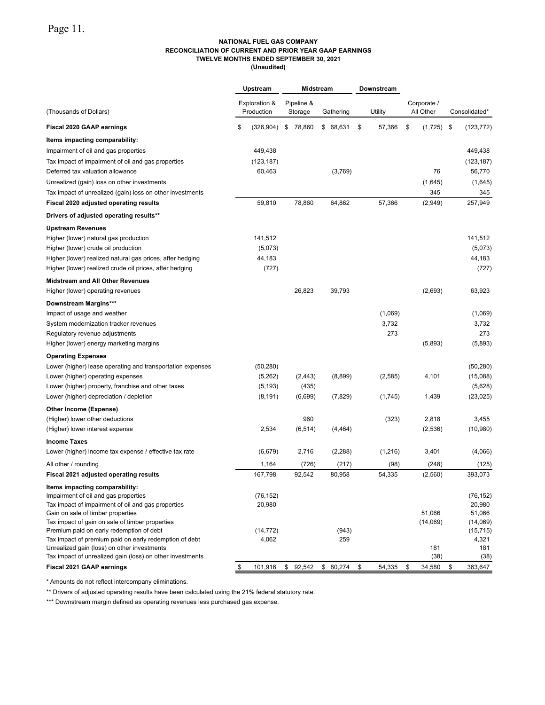#### **NATIONAL FUEL GAS COMPANY RECONCILIATION OF CURRENT AND PRIOR YEAR GAAP EARNINGS TWELVE MONTHS ENDED SEPTEMBER 30, 2021 (Unaudited)**

|                                                                                                          | Upstream<br>Downstream |                             | Midstream |                       |           |              |                          |                     |
|----------------------------------------------------------------------------------------------------------|------------------------|-----------------------------|-----------|-----------------------|-----------|--------------|--------------------------|---------------------|
| (Thousands of Dollars)                                                                                   |                        | Exploration &<br>Production |           | Pipeline &<br>Storage | Gathering | Utility      | Corporate /<br>All Other | Consolidated*       |
| <b>Fiscal 2020 GAAP earnings</b>                                                                         | \$                     | (326, 904)                  | \$        | 78,860                | \$68,631  | \$<br>57,366 | \$<br>(1,725)            | \$<br>(123, 772)    |
| Items impacting comparability:                                                                           |                        |                             |           |                       |           |              |                          |                     |
| Impairment of oil and gas properties                                                                     |                        | 449.438                     |           |                       |           |              |                          | 449.438             |
| Tax impact of impairment of oil and gas properties                                                       |                        | (123, 187)                  |           |                       |           |              |                          | (123, 187)          |
| Deferred tax valuation allowance                                                                         |                        | 60,463                      |           |                       | (3,769)   |              | 76                       | 56,770              |
| Unrealized (gain) loss on other investments                                                              |                        |                             |           |                       |           |              | (1,645)                  | (1,645)             |
| Tax impact of unrealized (gain) loss on other investments                                                |                        |                             |           |                       |           |              | 345                      | 345                 |
| Fiscal 2020 adjusted operating results                                                                   |                        | 59,810                      |           | 78,860                | 64,862    | 57,366       | (2,949)                  | 257,949             |
| Drivers of adjusted operating results**                                                                  |                        |                             |           |                       |           |              |                          |                     |
| <b>Upstream Revenues</b>                                                                                 |                        |                             |           |                       |           |              |                          |                     |
| Higher (lower) natural gas production                                                                    |                        | 141,512                     |           |                       |           |              |                          | 141,512             |
| Higher (lower) crude oil production                                                                      |                        | (5,073)                     |           |                       |           |              |                          | (5,073)             |
| Higher (lower) realized natural gas prices, after hedging                                                |                        | 44,183                      |           |                       |           |              |                          | 44,183              |
| Higher (lower) realized crude oil prices, after hedging                                                  |                        | (727)                       |           |                       |           |              |                          | (727)               |
| <b>Midstream and All Other Revenues</b>                                                                  |                        |                             |           |                       |           |              |                          |                     |
| Higher (lower) operating revenues                                                                        |                        |                             |           | 26,823                | 39.793    |              | (2,693)                  | 63,923              |
| <b>Downstream Margins***</b>                                                                             |                        |                             |           |                       |           |              |                          |                     |
| Impact of usage and weather                                                                              |                        |                             |           |                       |           | (1,069)      |                          | (1,069)             |
| System modernization tracker revenues                                                                    |                        |                             |           |                       |           | 3,732        |                          | 3,732               |
| Regulatory revenue adjustments                                                                           |                        |                             |           |                       |           | 273          |                          | 273                 |
| Higher (lower) energy marketing margins                                                                  |                        |                             |           |                       |           |              | (5,893)                  | (5,893)             |
| <b>Operating Expenses</b>                                                                                |                        |                             |           |                       |           |              |                          |                     |
| Lower (higher) lease operating and transportation expenses                                               |                        | (50, 280)                   |           |                       |           |              |                          | (50, 280)           |
| Lower (higher) operating expenses                                                                        |                        | (5,262)                     |           | (2, 443)              | (8,899)   | (2, 585)     | 4,101                    | (15,088)            |
| Lower (higher) property, franchise and other taxes                                                       |                        | (5, 193)                    |           | (435)                 |           |              |                          | (5,628)             |
| Lower (higher) depreciation / depletion                                                                  |                        | (8, 191)                    |           | (6,699)               | (7, 829)  | (1,745)      | 1,439                    | (23, 025)           |
| Other Income (Expense)                                                                                   |                        |                             |           |                       |           |              |                          |                     |
| (Higher) lower other deductions                                                                          |                        |                             |           | 960                   |           | (323)        | 2,818                    | 3,455               |
| (Higher) lower interest expense                                                                          |                        | 2,534                       |           | (6, 514)              | (4, 464)  |              | (2,536)                  | (10, 980)           |
| <b>Income Taxes</b>                                                                                      |                        |                             |           |                       |           |              |                          |                     |
| Lower (higher) income tax expense / effective tax rate                                                   |                        | (6, 679)                    |           | 2,716                 | (2, 288)  | (1,216)      | 3,401                    | (4,066)             |
| All other / rounding                                                                                     |                        | 1,164                       |           | (726)                 | (217)     | (98)         | (248)                    | (125)               |
| Fiscal 2021 adjusted operating results                                                                   |                        | 167,798                     |           | 92,542                | 80,958    | 54,335       | (2,560)                  | 393,073             |
| Items impacting comparability:                                                                           |                        |                             |           |                       |           |              |                          |                     |
| Impairment of oil and gas properties<br>Tax impact of impairment of oil and gas properties               |                        | (76, 152)<br>20,980         |           |                       |           |              |                          | (76, 152)<br>20,980 |
| Gain on sale of timber properties                                                                        |                        |                             |           |                       |           |              | 51.066                   | 51,066              |
| Tax impact of gain on sale of timber properties                                                          |                        |                             |           |                       |           |              | (14,069)                 | (14,069)            |
| Premium paid on early redemption of debt                                                                 |                        | (14, 772)                   |           |                       | (943)     |              |                          | (15, 715)           |
| Tax impact of premium paid on early redemption of debt                                                   |                        | 4,062                       |           |                       | 259       |              |                          | 4,321               |
| Unrealized gain (loss) on other investments<br>Tax impact of unrealized gain (loss) on other investments |                        |                             |           |                       |           |              | 181<br>(38)              | 181<br>(38)         |
| Fiscal 2021 GAAP earnings                                                                                | \$                     | 101,916                     | \$        | 92,542                | \$80,274  | \$<br>54,335 | \$<br>34,580             | \$<br>363,647       |
|                                                                                                          |                        |                             |           |                       |           |              |                          |                     |

\* Amounts do not reflect intercompany eliminations.

\*\* Drivers of adjusted operating results have been calculated using the 21% federal statutory rate.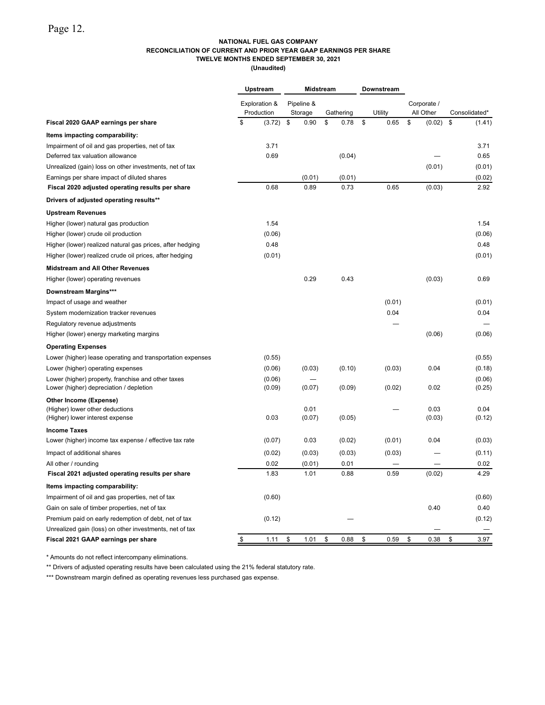### **NATIONAL FUEL GAS COMPANY RECONCILIATION OF CURRENT AND PRIOR YEAR GAAP EARNINGS PER SHARE TWELVE MONTHS ENDED SEPTEMBER 30, 2021**

**(Unaudited)**

|                                                            | Upstream<br><b>Midstream</b> |                             |                       |    | Downstream |    |         |                          |               |
|------------------------------------------------------------|------------------------------|-----------------------------|-----------------------|----|------------|----|---------|--------------------------|---------------|
|                                                            |                              | Exploration &<br>Production | Pipeline &<br>Storage |    | Gathering  |    | Utility | Corporate /<br>All Other | Consolidated* |
| Fiscal 2020 GAAP earnings per share                        | \$                           | (3.72)                      | \$<br>0.90            | \$ | 0.78       | \$ | 0.65    | \$<br>(0.02)             | \$<br>(1.41)  |
| Items impacting comparability:                             |                              |                             |                       |    |            |    |         |                          |               |
| Impairment of oil and gas properties, net of tax           |                              | 3.71                        |                       |    |            |    |         |                          | 3.71          |
| Deferred tax valuation allowance                           |                              | 0.69                        |                       |    | (0.04)     |    |         |                          | 0.65          |
| Unrealized (gain) loss on other investments, net of tax    |                              |                             |                       |    |            |    |         | (0.01)                   | (0.01)        |
| Earnings per share impact of diluted shares                |                              |                             | (0.01)                |    | (0.01)     |    |         |                          | (0.02)        |
| Fiscal 2020 adjusted operating results per share           |                              | 0.68                        | 0.89                  |    | 0.73       |    | 0.65    | (0.03)                   | 2.92          |
| Drivers of adjusted operating results**                    |                              |                             |                       |    |            |    |         |                          |               |
| <b>Upstream Revenues</b>                                   |                              |                             |                       |    |            |    |         |                          |               |
| Higher (lower) natural gas production                      |                              | 1.54                        |                       |    |            |    |         |                          | 1.54          |
| Higher (lower) crude oil production                        |                              | (0.06)                      |                       |    |            |    |         |                          | (0.06)        |
| Higher (lower) realized natural gas prices, after hedging  |                              | 0.48                        |                       |    |            |    |         |                          | 0.48          |
| Higher (lower) realized crude oil prices, after hedging    |                              | (0.01)                      |                       |    |            |    |         |                          | (0.01)        |
| <b>Midstream and All Other Revenues</b>                    |                              |                             |                       |    |            |    |         |                          |               |
| Higher (lower) operating revenues                          |                              |                             | 0.29                  |    | 0.43       |    |         | (0.03)                   | 0.69          |
| Downstream Margins***                                      |                              |                             |                       |    |            |    |         |                          |               |
| Impact of usage and weather                                |                              |                             |                       |    |            |    | (0.01)  |                          | (0.01)        |
| System modernization tracker revenues                      |                              |                             |                       |    |            |    | 0.04    |                          | 0.04          |
| Regulatory revenue adjustments                             |                              |                             |                       |    |            |    |         |                          |               |
| Higher (lower) energy marketing margins                    |                              |                             |                       |    |            |    |         | (0.06)                   | (0.06)        |
| <b>Operating Expenses</b>                                  |                              |                             |                       |    |            |    |         |                          |               |
| Lower (higher) lease operating and transportation expenses |                              | (0.55)                      |                       |    |            |    |         |                          | (0.55)        |
| Lower (higher) operating expenses                          |                              | (0.06)                      | (0.03)                |    | (0.10)     |    | (0.03)  | 0.04                     | (0.18)        |
| Lower (higher) property, franchise and other taxes         |                              | (0.06)                      |                       |    |            |    |         |                          | (0.06)        |
| Lower (higher) depreciation / depletion                    |                              | (0.09)                      | (0.07)                |    | (0.09)     |    | (0.02)  | 0.02                     | (0.25)        |
| Other Income (Expense)                                     |                              |                             |                       |    |            |    |         |                          |               |
| (Higher) lower other deductions                            |                              |                             | 0.01                  |    |            |    |         | 0.03                     | 0.04          |
| (Higher) lower interest expense                            |                              | 0.03                        | (0.07)                |    | (0.05)     |    |         | (0.03)                   | (0.12)        |
| <b>Income Taxes</b>                                        |                              |                             |                       |    |            |    |         |                          |               |
| Lower (higher) income tax expense / effective tax rate     |                              | (0.07)                      | 0.03                  |    | (0.02)     |    | (0.01)  | 0.04                     | (0.03)        |
| Impact of additional shares                                |                              | (0.02)                      | (0.03)                |    | (0.03)     |    | (0.03)  |                          | (0.11)        |
| All other / rounding                                       |                              | 0.02                        | (0.01)                |    | 0.01       |    |         |                          | 0.02          |
| Fiscal 2021 adjusted operating results per share           |                              | 1.83                        | 1.01                  |    | 0.88       |    | 0.59    | (0.02)                   | 4.29          |
| Items impacting comparability:                             |                              |                             |                       |    |            |    |         |                          |               |
| Impairment of oil and gas properties, net of tax           |                              | (0.60)                      |                       |    |            |    |         |                          | (0.60)        |
| Gain on sale of timber properties, net of tax              |                              |                             |                       |    |            |    |         | 0.40                     | 0.40          |
| Premium paid on early redemption of debt, net of tax       |                              | (0.12)                      |                       |    |            |    |         |                          | (0.12)        |
| Unrealized gain (loss) on other investments, net of tax    |                              |                             |                       |    |            |    |         |                          |               |
| Fiscal 2021 GAAP earnings per share                        | \$                           | 1.11                        | \$<br>1.01            | \$ | 0.88       | \$ | 0.59    | \$<br>0.38               | \$<br>3.97    |

\* Amounts do not reflect intercompany eliminations.

\*\* Drivers of adjusted operating results have been calculated using the 21% federal statutory rate.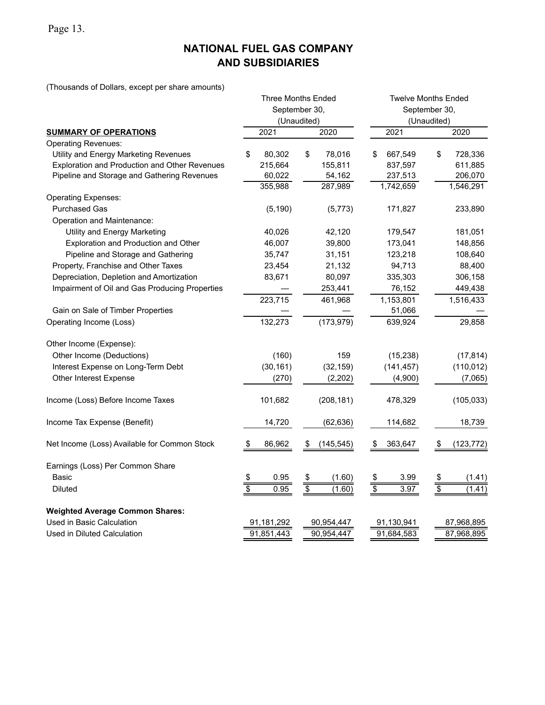Page 13.

# **NATIONAL FUEL GAS COMPANY AND SUBSIDIARIES**

(Thousands of Dollars, except per share amounts)

|                                                |                          | <b>Three Months Ended</b> | <b>Twelve Months Ended</b> |                       |  |  |  |  |  |  |  |
|------------------------------------------------|--------------------------|---------------------------|----------------------------|-----------------------|--|--|--|--|--|--|--|
|                                                |                          | September 30,             | September 30,              |                       |  |  |  |  |  |  |  |
|                                                |                          | (Unaudited)               |                            | (Unaudited)           |  |  |  |  |  |  |  |
| <b>SUMMARY OF OPERATIONS</b>                   | 2021                     | 2020                      | 2021                       | 2020                  |  |  |  |  |  |  |  |
| <b>Operating Revenues:</b>                     |                          |                           |                            |                       |  |  |  |  |  |  |  |
| Utility and Energy Marketing Revenues          | 80,302<br>\$             | \$<br>78,016              | \$<br>667,549              | \$<br>728,336         |  |  |  |  |  |  |  |
| Exploration and Production and Other Revenues  | 215,664                  | 155,811                   | 837,597                    | 611,885               |  |  |  |  |  |  |  |
| Pipeline and Storage and Gathering Revenues    | 60,022                   | 54,162                    | 237,513                    | 206,070               |  |  |  |  |  |  |  |
|                                                | 355,988                  | 287,989                   | 1,742,659                  | 1,546,291             |  |  |  |  |  |  |  |
| <b>Operating Expenses:</b>                     |                          |                           |                            |                       |  |  |  |  |  |  |  |
| <b>Purchased Gas</b>                           | (5, 190)                 | (5, 773)                  | 171,827                    | 233,890               |  |  |  |  |  |  |  |
| Operation and Maintenance:                     |                          |                           |                            |                       |  |  |  |  |  |  |  |
| Utility and Energy Marketing                   | 40,026                   | 42,120                    | 179,547                    | 181,051               |  |  |  |  |  |  |  |
| Exploration and Production and Other           | 46,007                   | 39,800                    | 173,041                    | 148,856               |  |  |  |  |  |  |  |
| Pipeline and Storage and Gathering             | 35,747                   | 31,151                    | 123,218                    | 108,640               |  |  |  |  |  |  |  |
| Property, Franchise and Other Taxes            | 23,454                   | 21,132                    | 94,713                     | 88,400                |  |  |  |  |  |  |  |
| Depreciation, Depletion and Amortization       | 83,671                   | 80,097                    | 335,303                    | 306,158               |  |  |  |  |  |  |  |
| Impairment of Oil and Gas Producing Properties |                          | 253,441                   | 76,152                     | 449,438               |  |  |  |  |  |  |  |
|                                                | 223,715                  | 461,968                   | 1,153,801                  | 1,516,433             |  |  |  |  |  |  |  |
| Gain on Sale of Timber Properties              |                          |                           | 51,066                     |                       |  |  |  |  |  |  |  |
| Operating Income (Loss)                        | 132,273                  | (173, 979)                | 639,924                    | 29,858                |  |  |  |  |  |  |  |
| Other Income (Expense):                        |                          |                           |                            |                       |  |  |  |  |  |  |  |
| Other Income (Deductions)                      | (160)                    | 159                       | (15, 238)                  | (17, 814)             |  |  |  |  |  |  |  |
| Interest Expense on Long-Term Debt             | (30, 161)                | (32, 159)                 | (141, 457)                 | (110, 012)            |  |  |  |  |  |  |  |
| Other Interest Expense                         | (270)                    | (2, 202)                  | (4,900)                    | (7,065)               |  |  |  |  |  |  |  |
| Income (Loss) Before Income Taxes              | 101,682                  | (208, 181)                | 478,329                    | (105, 033)            |  |  |  |  |  |  |  |
| Income Tax Expense (Benefit)                   | 14,720                   | (62,636)                  | 114,682                    | 18,739                |  |  |  |  |  |  |  |
| Net Income (Loss) Available for Common Stock   | 86,962<br>S              | \$<br>(145,545)           | 363,647<br>S.              | \$<br>(123, 772)      |  |  |  |  |  |  |  |
| Earnings (Loss) Per Common Share               |                          |                           |                            |                       |  |  |  |  |  |  |  |
| <b>Basic</b>                                   | 0.95<br>$rac{1}{2}$      | $\frac{\$}{\$}$<br>(1.60) | <u>\$</u><br>3.99          | $rac{1}{3}$<br>(1.41) |  |  |  |  |  |  |  |
| <b>Diluted</b>                                 | 0.95                     | (1.60)                    | 3.97                       | (1.41)                |  |  |  |  |  |  |  |
| <b>Weighted Average Common Shares:</b>         |                          |                           |                            |                       |  |  |  |  |  |  |  |
| Used in Basic Calculation                      | 91,181,292               | 90,954,447                | 91,130,941                 | 87,968,895            |  |  |  |  |  |  |  |
| Used in Diluted Calculation                    | 91,851,443<br>90,954,447 |                           |                            |                       |  |  |  |  |  |  |  |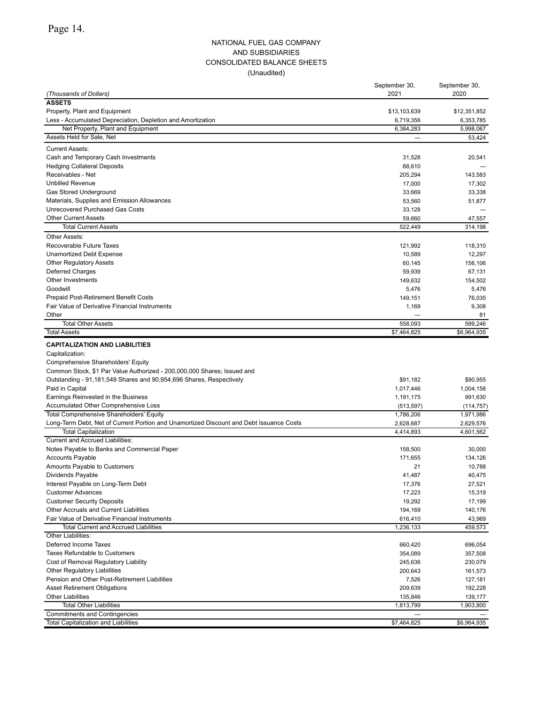### NATIONAL FUEL GAS COMPANY AND SUBSIDIARIES CONSOLIDATED BALANCE SHEETS (Unaudited)

|                                                                                                  | September 30,          | September 30,          |
|--------------------------------------------------------------------------------------------------|------------------------|------------------------|
| (Thousands of Dollars)                                                                           | 2021                   | 2020                   |
| <b>ASSETS</b>                                                                                    |                        |                        |
| Property, Plant and Equipment                                                                    | \$13,103,639           | \$12,351,852           |
| Less - Accumulated Depreciation, Depletion and Amortization<br>Net Property, Plant and Equipment | 6,719,356<br>6,384,283 | 6,353,785<br>5,998,067 |
| Assets Held for Sale, Net                                                                        |                        | 53,424                 |
|                                                                                                  |                        |                        |
| <b>Current Assets:</b>                                                                           |                        |                        |
| Cash and Temporary Cash Investments                                                              | 31,528                 | 20,541                 |
| <b>Hedging Collateral Deposits</b><br>Receivables - Net                                          | 88,610<br>205,294      | 143,583                |
| <b>Unbilled Revenue</b>                                                                          | 17,000                 | 17,302                 |
| Gas Stored Underground                                                                           | 33,669                 | 33,338                 |
| Materials, Supplies and Emission Allowances                                                      | 53,560                 | 51.877                 |
| Unrecovered Purchased Gas Costs                                                                  | 33,128                 |                        |
| <b>Other Current Assets</b>                                                                      | 59,660                 | 47,557                 |
| <b>Total Current Assets</b>                                                                      | 522,449                | 314,198                |
| Other Assets:                                                                                    |                        |                        |
| Recoverable Future Taxes                                                                         | 121,992                | 118,310                |
| <b>Unamortized Debt Expense</b>                                                                  | 10,589                 | 12,297                 |
| <b>Other Regulatory Assets</b>                                                                   | 60,145                 | 156,106                |
| Deferred Charges                                                                                 | 59,939                 | 67,131                 |
| Other Investments                                                                                | 149,632                | 154,502                |
| Goodwill                                                                                         | 5,476                  | 5,476                  |
| Prepaid Post-Retirement Benefit Costs                                                            | 149,151                | 76,035                 |
| Fair Value of Derivative Financial Instruments                                                   | 1,169                  | 9,308                  |
| Other                                                                                            |                        | 81                     |
| <b>Total Other Assets</b>                                                                        | 558,093                | 599,246                |
| <b>Total Assets</b>                                                                              | \$7,464,825            | \$6,964,935            |
| <b>CAPITALIZATION AND LIABILITIES</b>                                                            |                        |                        |
| Capitalization:                                                                                  |                        |                        |
| Comprehensive Shareholders' Equity                                                               |                        |                        |
| Common Stock, \$1 Par Value Authorized - 200,000,000 Shares; Issued and                          |                        |                        |
| Outstanding - 91,181,549 Shares and 90,954,696 Shares, Respectively                              | \$91,182               | \$90,955               |
| Paid in Capital                                                                                  | 1,017,446              | 1,004,158              |
| Earnings Reinvested in the Business                                                              | 1,191,175              | 991,630                |
| Accumulated Other Comprehensive Loss<br><b>Total Comprehensive Shareholders' Equity</b>          | (513, 597)             | (114, 757)             |
| Long-Term Debt, Net of Current Portion and Unamortized Discount and Debt Issuance Costs          | 1,786,206<br>2,628,687 | 1,971,986<br>2,629,576 |
| <b>Total Capitalization</b>                                                                      | 4,414,893              | 4,601,562              |
| <b>Current and Accrued Liabilities:</b>                                                          |                        |                        |
| Notes Payable to Banks and Commercial Paper                                                      | 158,500                | 30,000                 |
| <b>Accounts Payable</b>                                                                          | 171,655                | 134,126                |
| Amounts Payable to Customers                                                                     | 21                     | 10,788                 |
| Dividends Payable                                                                                | 41,487                 | 40,475                 |
| Interest Payable on Long-Term Debt                                                               | 17,376                 | 27,521                 |
| <b>Customer Advances</b>                                                                         | 17,223                 | 15,319                 |
| <b>Customer Security Deposits</b>                                                                | 19,292                 | 17,199                 |
| Other Accruals and Current Liabilities                                                           | 194,169                | 140,176                |
| Fair Value of Derivative Financial Instruments                                                   | 616,410                | 43,969                 |
| <b>Total Current and Accrued Liabilities</b>                                                     | 1,236,133              | 459,573                |
| Other Liabilities:                                                                               |                        |                        |
| Deferred Income Taxes                                                                            | 660,420                | 696,054                |
| <b>Taxes Refundable to Customers</b>                                                             | 354,089                | 357,508                |
| Cost of Removal Regulatory Liability                                                             | 245,636                | 230,079                |
| <b>Other Regulatory Liabilities</b>                                                              | 200,643                | 161,573                |
| Pension and Other Post-Retirement Liabilities                                                    | 7,526                  | 127,181                |
| <b>Asset Retirement Obligations</b>                                                              | 209,639                | 192,228                |
| <b>Other Liabilities</b>                                                                         | 135,846                | 139,177                |
| <b>Total Other Liabilities</b>                                                                   | 1,813,799              | 1,903,800              |
| <b>Commitments and Contingencies</b><br>Total Capitalization and Liabilities                     | \$7,464,825            | \$6,964,935            |
|                                                                                                  |                        |                        |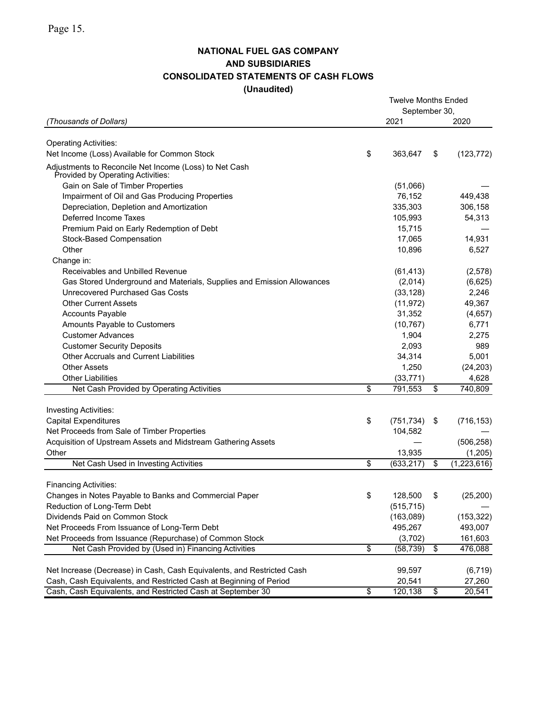# **NATIONAL FUEL GAS COMPANY AND SUBSIDIARIES CONSOLIDATED STATEMENTS OF CASH FLOWS (Unaudited)**

|                                                                                                              |                 | <b>Twelve Months Ended</b> |                              |
|--------------------------------------------------------------------------------------------------------------|-----------------|----------------------------|------------------------------|
| (Thousands of Dollars)                                                                                       |                 | September 30,<br>2021      | 2020                         |
|                                                                                                              |                 |                            |                              |
| <b>Operating Activities:</b>                                                                                 |                 |                            |                              |
| Net Income (Loss) Available for Common Stock                                                                 | \$              | 363,647                    | \$<br>(123, 772)             |
| Adjustments to Reconcile Net Income (Loss) to Net Cash<br>Provided by Operating Activities:                  |                 |                            |                              |
| Gain on Sale of Timber Properties                                                                            |                 | (51,066)                   |                              |
| Impairment of Oil and Gas Producing Properties                                                               |                 | 76,152                     | 449,438                      |
| Depreciation, Depletion and Amortization                                                                     |                 | 335,303                    | 306,158                      |
| Deferred Income Taxes                                                                                        |                 | 105,993                    | 54,313                       |
| Premium Paid on Early Redemption of Debt                                                                     |                 | 15,715                     |                              |
| Stock-Based Compensation                                                                                     |                 | 17,065                     | 14,931                       |
| Other                                                                                                        |                 | 10,896                     | 6,527                        |
| Change in:                                                                                                   |                 |                            |                              |
| Receivables and Unbilled Revenue                                                                             |                 | (61, 413)                  | (2,578)                      |
| Gas Stored Underground and Materials, Supplies and Emission Allowances                                       |                 | (2,014)                    | (6,625)                      |
| Unrecovered Purchased Gas Costs                                                                              |                 | (33, 128)                  | 2,246                        |
| <b>Other Current Assets</b>                                                                                  |                 | (11, 972)                  | 49,367                       |
| <b>Accounts Payable</b>                                                                                      |                 | 31,352                     | (4,657)                      |
| Amounts Payable to Customers                                                                                 |                 | (10, 767)                  | 6,771                        |
| <b>Customer Advances</b>                                                                                     |                 | 1,904                      | 2,275                        |
| <b>Customer Security Deposits</b>                                                                            |                 | 2,093                      | 989                          |
| <b>Other Accruals and Current Liabilities</b>                                                                |                 | 34,314                     | 5,001                        |
| <b>Other Assets</b>                                                                                          |                 | 1,250                      | (24, 203)                    |
| <b>Other Liabilities</b>                                                                                     |                 | (33, 771)                  | 4,628                        |
| Net Cash Provided by Operating Activities                                                                    | \$              | 791,553                    | \$<br>740,809                |
|                                                                                                              |                 |                            |                              |
| <b>Investing Activities:</b>                                                                                 |                 |                            |                              |
| <b>Capital Expenditures</b>                                                                                  | \$              | (751, 734)                 | \$<br>(716, 153)             |
| Net Proceeds from Sale of Timber Properties<br>Acquisition of Upstream Assets and Midstream Gathering Assets |                 | 104,582                    |                              |
| Other                                                                                                        |                 | 13,935                     | (506, 258)                   |
| Net Cash Used in Investing Activities                                                                        | \$              | (633, 217)                 | \$<br>(1,205)<br>(1,223,616) |
|                                                                                                              |                 |                            |                              |
| <b>Financing Activities:</b>                                                                                 |                 |                            |                              |
| Changes in Notes Payable to Banks and Commercial Paper                                                       | \$              | 128,500                    | \$<br>(25, 200)              |
| Reduction of Long-Term Debt                                                                                  |                 | (515, 715)                 |                              |
| Dividends Paid on Common Stock                                                                               |                 | (163,089)                  | (153, 322)                   |
| Net Proceeds From Issuance of Long-Term Debt                                                                 |                 | 495,267                    | 493,007                      |
| Net Proceeds from Issuance (Repurchase) of Common Stock                                                      |                 | (3,702)                    | 161,603                      |
| Net Cash Provided by (Used in) Financing Activities                                                          | $\overline{\$}$ | (58, 739)                  | \$<br>476,088                |
|                                                                                                              |                 |                            |                              |
| Net Increase (Decrease) in Cash, Cash Equivalents, and Restricted Cash                                       |                 | 99,597                     | (6, 719)                     |
| Cash, Cash Equivalents, and Restricted Cash at Beginning of Period                                           |                 | 20,541                     | 27,260                       |
| Cash, Cash Equivalents, and Restricted Cash at September 30                                                  | $\overline{\$}$ | 120,138                    | \$<br>20,541                 |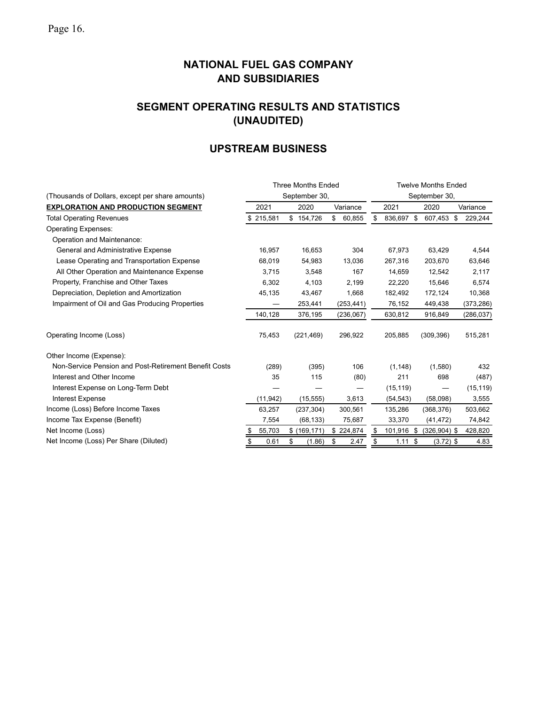# **SEGMENT OPERATING RESULTS AND STATISTICS (UNAUDITED)**

# **UPSTREAM BUSINESS**

|                                                       |            | <b>Three Months Ended</b> |              | <b>Twelve Months Ended</b> |            |                 |               |  |  |  |  |
|-------------------------------------------------------|------------|---------------------------|--------------|----------------------------|------------|-----------------|---------------|--|--|--|--|
| (Thousands of Dollars, except per share amounts)      |            | September 30,             |              |                            |            | September 30,   |               |  |  |  |  |
| <b>EXPLORATION AND PRODUCTION SEGMENT</b>             | 2021       | 2020                      | Variance     |                            | 2021       | 2020            | Variance      |  |  |  |  |
| <b>Total Operating Revenues</b>                       | \$215,581  | \$154,726                 | \$<br>60,855 | S                          | 836,697 \$ | 607,453         | -S<br>229,244 |  |  |  |  |
| <b>Operating Expenses:</b>                            |            |                           |              |                            |            |                 |               |  |  |  |  |
| Operation and Maintenance:                            |            |                           |              |                            |            |                 |               |  |  |  |  |
| General and Administrative Expense                    | 16,957     | 16,653                    | 304          |                            | 67,973     | 63,429          | 4,544         |  |  |  |  |
| Lease Operating and Transportation Expense            | 68,019     | 54,983                    | 13,036       |                            | 267,316    | 203,670         | 63,646        |  |  |  |  |
| All Other Operation and Maintenance Expense           | 3,715      | 3,548                     | 167          |                            | 14,659     | 12,542          | 2,117         |  |  |  |  |
| Property, Franchise and Other Taxes                   | 6,302      | 4.103                     | 2,199        |                            | 22,220     | 15,646          | 6,574         |  |  |  |  |
| Depreciation, Depletion and Amortization              | 45,135     | 43,467                    | 1,668        |                            | 182,492    | 172,124         | 10,368        |  |  |  |  |
| Impairment of Oil and Gas Producing Properties        |            | 253,441                   | (253, 441)   |                            | 76,152     | 449,438         | (373, 286)    |  |  |  |  |
|                                                       | 140,128    | 376,195                   | (236,067)    |                            | 630,812    | 916,849         | (286, 037)    |  |  |  |  |
| Operating Income (Loss)                               | 75,453     | (221, 469)                | 296,922      |                            | 205,885    | (309, 396)      | 515,281       |  |  |  |  |
| Other Income (Expense):                               |            |                           |              |                            |            |                 |               |  |  |  |  |
| Non-Service Pension and Post-Retirement Benefit Costs | (289)      | (395)                     | 106          |                            | (1, 148)   | (1,580)         | 432           |  |  |  |  |
| Interest and Other Income                             | 35         | 115                       | (80)         |                            | 211        | 698             | (487)         |  |  |  |  |
| Interest Expense on Long-Term Debt                    |            |                           |              |                            | (15, 119)  |                 | (15, 119)     |  |  |  |  |
| <b>Interest Expense</b>                               | (11, 942)  | (15, 555)                 | 3,613        |                            | (54, 543)  | (58,098)        | 3,555         |  |  |  |  |
| Income (Loss) Before Income Taxes                     | 63,257     | (237, 304)                | 300,561      |                            | 135,286    | (368, 376)      | 503,662       |  |  |  |  |
| Income Tax Expense (Benefit)                          | 7,554      | (68, 133)                 | 75,687       |                            | 33,370     | (41, 472)       | 74,842        |  |  |  |  |
| Net Income (Loss)                                     | 55,703     | \$(169, 171)              | \$224,874    | S                          | 101,916 \$ | $(326, 904)$ \$ | 428,820       |  |  |  |  |
| Net Income (Loss) Per Share (Diluted)                 | \$<br>0.61 | \$<br>(1.86)              | 2.47<br>S    | \$                         | 1.11S      | $(3.72)$ \$     | 4.83          |  |  |  |  |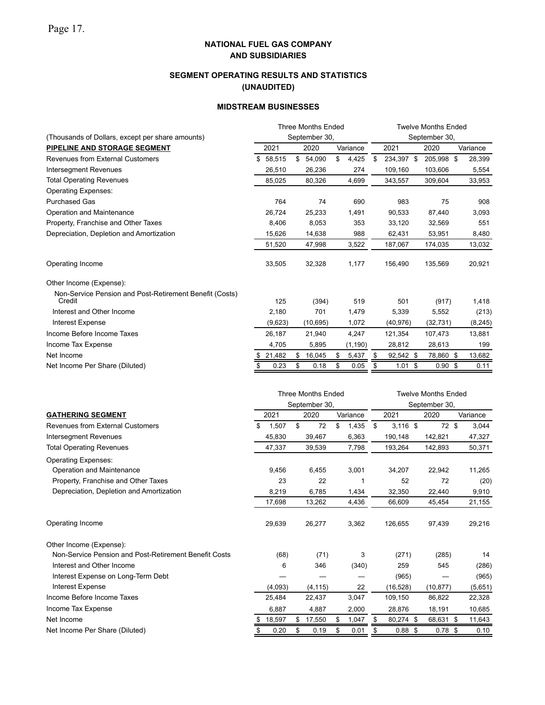# **SEGMENT OPERATING RESULTS AND STATISTICS (UNAUDITED)**

### **MIDSTREAM BUSINESSES**

|                                                                   | <b>Three Months Ended</b> |               |           |               |          |    | <b>Twelve Months Ended</b> |  |                   |  |          |  |  |
|-------------------------------------------------------------------|---------------------------|---------------|-----------|---------------|----------|----|----------------------------|--|-------------------|--|----------|--|--|
| (Thousands of Dollars, except per share amounts)                  |                           | September 30, |           | September 30, |          |    |                            |  |                   |  |          |  |  |
| PIPELINE AND STORAGE SEGMENT                                      | 2021                      |               | 2020      |               | Variance |    | 2021                       |  | 2020              |  | Variance |  |  |
| <b>Revenues from External Customers</b>                           | \$<br>58.515              | \$            | 54,090    | \$            | 4,425    | \$ | 234,397 \$                 |  | 205,998 \$        |  | 28,399   |  |  |
| <b>Intersegment Revenues</b>                                      | 26,510                    |               | 26,236    |               | 274      |    | 109,160                    |  | 103,606           |  | 5,554    |  |  |
| <b>Total Operating Revenues</b>                                   | 85.025                    |               | 80,326    |               | 4,699    |    | 343,557                    |  | 309.604           |  | 33,953   |  |  |
| <b>Operating Expenses:</b>                                        |                           |               |           |               |          |    |                            |  |                   |  |          |  |  |
| <b>Purchased Gas</b>                                              | 764                       |               | 74        |               | 690      |    | 983                        |  | 75                |  | 908      |  |  |
| Operation and Maintenance                                         | 26,724                    |               | 25,233    |               | 1,491    |    | 90,533                     |  | 87,440            |  | 3,093    |  |  |
| Property, Franchise and Other Taxes                               | 8,406                     |               | 8,053     |               | 353      |    | 33,120                     |  | 32,569            |  | 551      |  |  |
| Depreciation, Depletion and Amortization                          | 15,626                    |               | 14,638    |               | 988      |    | 62,431                     |  | 53,951            |  | 8,480    |  |  |
|                                                                   | 51,520                    |               | 47,998    |               | 3,522    |    | 187,067                    |  | 174,035           |  | 13,032   |  |  |
| Operating Income                                                  | 33,505                    |               | 32,328    |               | 1,177    |    | 156,490                    |  | 135,569           |  | 20,921   |  |  |
| Other Income (Expense):                                           |                           |               |           |               |          |    |                            |  |                   |  |          |  |  |
| Non-Service Pension and Post-Retirement Benefit (Costs)<br>Credit | 125                       |               | (394)     |               | 519      |    | 501                        |  | (917)             |  | 1,418    |  |  |
| Interest and Other Income                                         | 2,180                     |               | 701       |               | 1,479    |    | 5,339                      |  | 5,552             |  | (213)    |  |  |
| Interest Expense                                                  | (9,623)                   |               | (10, 695) |               | 1,072    |    | (40, 976)                  |  | (32, 731)         |  | (8, 245) |  |  |
| Income Before Income Taxes                                        | 26,187                    |               | 21,940    |               | 4,247    |    | 121,354                    |  | 107,473           |  | 13,881   |  |  |
| Income Tax Expense                                                | 4,705                     |               | 5,895     |               | (1, 190) |    | 28,812                     |  | 28,613            |  | 199      |  |  |
| Net Income                                                        | 21,482                    | S             | 16,045    |               | 5,437    | S  | $92,542$ \$                |  | 78,860 \$         |  | 13,682   |  |  |
| Net Income Per Share (Diluted)                                    | 0.23                      | \$            | 0.18      | \$            | 0.05     | S  | $1.01$ \$                  |  | $0.90 \text{ } $$ |  | 0.11     |  |  |
|                                                                   |                           |               |           |               |          |    |                            |  |                   |  |          |  |  |

|                                                       |    |         |    | <b>Three Months Ended</b><br>September 30, |    |          |                  |  | <b>Twelve Months Ended</b><br>September 30, |  |          |
|-------------------------------------------------------|----|---------|----|--------------------------------------------|----|----------|------------------|--|---------------------------------------------|--|----------|
| <b>GATHERING SEGMENT</b>                              |    | 2021    |    | 2020                                       |    | Variance | 2021             |  | 2020                                        |  | Variance |
| <b>Revenues from External Customers</b>               | \$ | 1,507   | \$ | 72                                         | \$ | 1,435    | \$<br>$3,116$ \$ |  | 72 \$                                       |  | 3,044    |
| Intersegment Revenues                                 |    | 45,830  |    | 39,467                                     |    | 6,363    | 190,148          |  | 142,821                                     |  | 47,327   |
| <b>Total Operating Revenues</b>                       |    | 47,337  |    | 39,539                                     |    | 7,798    | 193,264          |  | 142,893                                     |  | 50,371   |
| <b>Operating Expenses:</b>                            |    |         |    |                                            |    |          |                  |  |                                             |  |          |
| Operation and Maintenance                             |    | 9,456   |    | 6,455                                      |    | 3,001    | 34,207           |  | 22,942                                      |  | 11,265   |
| Property, Franchise and Other Taxes                   |    | 23      |    | 22                                         |    |          | 52               |  | 72                                          |  | (20)     |
| Depreciation, Depletion and Amortization              |    | 8,219   |    | 6,785                                      |    | 1,434    | 32,350           |  | 22,440                                      |  | 9,910    |
|                                                       |    | 17.698  |    | 13,262                                     |    | 4,436    | 66,609           |  | 45,454                                      |  | 21,155   |
| Operating Income                                      |    | 29,639  |    | 26,277                                     |    | 3,362    | 126.655          |  | 97,439                                      |  | 29,216   |
| Other Income (Expense):                               |    |         |    |                                            |    |          |                  |  |                                             |  |          |
| Non-Service Pension and Post-Retirement Benefit Costs |    | (68)    |    | (71)                                       |    | 3        | (271)            |  | (285)                                       |  | 14       |
| Interest and Other Income                             |    | 6       |    | 346                                        |    | (340)    | 259              |  | 545                                         |  | (286)    |
| Interest Expense on Long-Term Debt                    |    |         |    |                                            |    |          | (965)            |  |                                             |  | (965)    |
| Interest Expense                                      |    | (4,093) |    | (4, 115)                                   |    | 22       | (16, 528)        |  | (10, 877)                                   |  | (5,651)  |
| Income Before Income Taxes                            |    | 25,484  |    | 22,437                                     |    | 3,047    | 109,150          |  | 86,822                                      |  | 22,328   |
| Income Tax Expense                                    |    | 6.887   |    | 4,887                                      |    | 2,000    | 28,876           |  | 18,191                                      |  | 10,685   |
| Net Income                                            | S  | 18,597  | S  | 17,550                                     |    | 1,047    | \$<br>80,274 \$  |  | 68,631 \$                                   |  | 11,643   |
| Net Income Per Share (Diluted)                        |    | 0.20    | \$ | 0.19                                       | \$ | 0.01     | \$<br>$0.88$ \$  |  | $0.78$ \$                                   |  | 0.10     |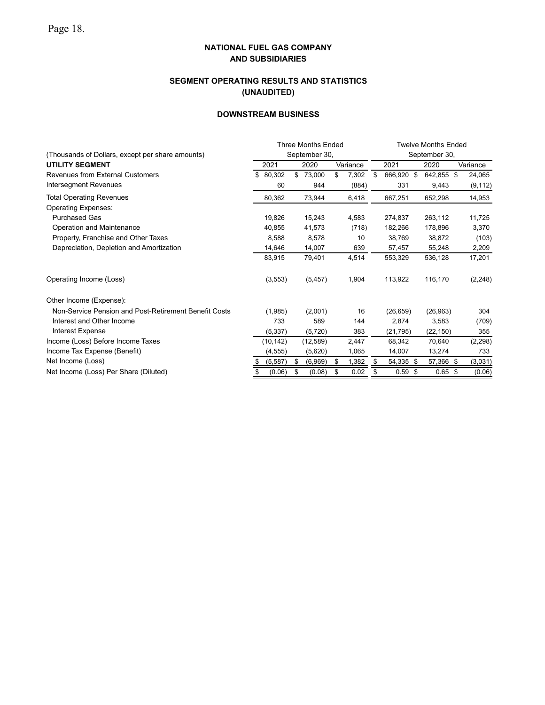# **SEGMENT OPERATING RESULTS AND STATISTICS (UNAUDITED)**

## **DOWNSTREAM BUSINESS**

|                                                       | <b>Three Months Ended</b> |          |    |               |    |          |               | <b>Twelve Months Ended</b> |      |            |  |          |  |  |  |
|-------------------------------------------------------|---------------------------|----------|----|---------------|----|----------|---------------|----------------------------|------|------------|--|----------|--|--|--|
| (Thousands of Dollars, except per share amounts)      |                           |          |    | September 30, |    |          | September 30, |                            |      |            |  |          |  |  |  |
| <b>UTILITY SEGMENT</b>                                |                           | 2021     |    | 2020          |    | Variance |               | 2021                       |      | 2020       |  | Variance |  |  |  |
| Revenues from External Customers                      | \$                        | 80,302   | \$ | 73,000        | \$ | 7,302    | \$            | 666,920 \$                 |      | 642,855 \$ |  | 24,065   |  |  |  |
| Intersegment Revenues                                 |                           | 60       |    | 944           |    | (884)    |               | 331                        |      | 9,443      |  | (9, 112) |  |  |  |
| <b>Total Operating Revenues</b>                       |                           | 80,362   |    | 73,944        |    | 6,418    |               | 667,251                    |      | 652,298    |  | 14,953   |  |  |  |
| <b>Operating Expenses:</b>                            |                           |          |    |               |    |          |               |                            |      |            |  |          |  |  |  |
| <b>Purchased Gas</b>                                  |                           | 19,826   |    | 15,243        |    | 4,583    |               | 274,837                    |      | 263,112    |  | 11,725   |  |  |  |
| Operation and Maintenance                             |                           | 40,855   |    | 41,573        |    | (718)    |               | 182,266                    |      | 178,896    |  | 3,370    |  |  |  |
| Property, Franchise and Other Taxes                   |                           | 8,588    |    | 8,578         |    | 10       |               | 38,769                     |      | 38,872     |  | (103)    |  |  |  |
| Depreciation, Depletion and Amortization              |                           | 14,646   |    | 14,007        |    | 639      |               | 57,457                     |      | 55,248     |  | 2,209    |  |  |  |
|                                                       |                           | 83,915   |    | 79,401        |    | 4,514    |               | 553,329                    |      | 536,128    |  | 17,201   |  |  |  |
| Operating Income (Loss)                               |                           | (3, 553) |    | (5, 457)      |    | 1,904    |               | 113,922                    |      | 116,170    |  | (2, 248) |  |  |  |
| Other Income (Expense):                               |                           |          |    |               |    |          |               |                            |      |            |  |          |  |  |  |
| Non-Service Pension and Post-Retirement Benefit Costs |                           | (1,985)  |    | (2,001)       |    | 16       |               | (26, 659)                  |      | (26, 963)  |  | 304      |  |  |  |
| Interest and Other Income                             |                           | 733      |    | 589           |    | 144      |               | 2,874                      |      | 3,583      |  | (709)    |  |  |  |
| <b>Interest Expense</b>                               |                           | (5, 337) |    | (5, 720)      |    | 383      |               | (21, 795)                  |      | (22, 150)  |  | 355      |  |  |  |
| Income (Loss) Before Income Taxes                     |                           | (10,142) |    | (12, 589)     |    | 2,447    |               | 68,342                     |      | 70,640     |  | (2, 298) |  |  |  |
| Income Tax Expense (Benefit)                          |                           | (4, 555) |    | (5,620)       |    | 1,065    |               | 14,007                     |      | 13,274     |  | 733      |  |  |  |
| Net Income (Loss)                                     |                           | (5, 587) | \$ | (6,969)       | S  | 1,382    | \$            | 54,335                     | - \$ | 57,366 \$  |  | (3,031)  |  |  |  |
| Net Income (Loss) Per Share (Diluted)                 |                           | (0.06)   | \$ | (0.08)        | \$ | 0.02     | \$            | 0.59                       | - \$ | $0.65$ \$  |  | (0.06)   |  |  |  |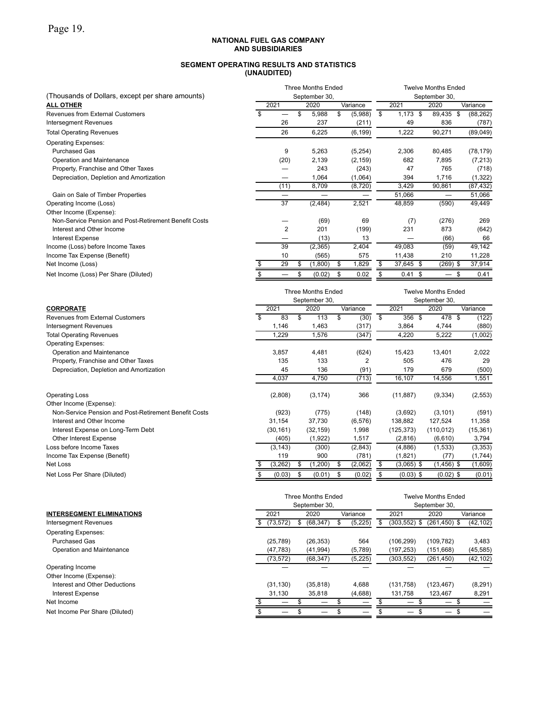### **SEGMENT OPERATING RESULTS AND STATISTICS (UNAUDITED)**

|                                                       |                          |                |   | <b>Three Months Ended</b> |   |          | <b>Twelve Months Ended</b> |            |      |                          |  |           |  |
|-------------------------------------------------------|--------------------------|----------------|---|---------------------------|---|----------|----------------------------|------------|------|--------------------------|--|-----------|--|
| (Thousands of Dollars, except per share amounts)      |                          |                |   | September 30,             |   |          |                            |            |      | September 30,            |  |           |  |
| <b>ALL OTHER</b>                                      | 2021<br>2020<br>Variance |                |   |                           |   |          |                            | 2021       |      | 2020                     |  | Variance  |  |
| <b>Revenues from External Customers</b>               |                          |                | S | 5,988                     | S | (5,988)  | \$                         | $1,173$ \$ |      | 89,435 \$                |  | (88, 262) |  |
| Intersegment Revenues                                 |                          | 26             |   | 237                       |   | (211)    |                            | 49         |      | 836                      |  | (787)     |  |
| <b>Total Operating Revenues</b>                       |                          | 26             |   | 6,225                     |   | (6, 199) |                            | 1,222      |      | 90,271                   |  | (89,049)  |  |
| <b>Operating Expenses:</b>                            |                          |                |   |                           |   |          |                            |            |      |                          |  |           |  |
| <b>Purchased Gas</b>                                  |                          | 9              |   | 5,263                     |   | (5,254)  |                            | 2,306      |      | 80,485                   |  | (78, 179) |  |
| Operation and Maintenance                             |                          | (20)           |   | 2,139                     |   | (2, 159) |                            | 682        |      | 7,895                    |  | (7, 213)  |  |
| Property, Franchise and Other Taxes                   |                          |                |   | 243                       |   | (243)    |                            | 47         |      | 765                      |  | (718)     |  |
| Depreciation, Depletion and Amortization              |                          |                |   | 1,064                     |   | (1,064)  |                            | 394        |      | 1,716                    |  | (1,322)   |  |
|                                                       |                          | (11)           |   | 8,709                     |   | (8,720)  |                            | 3,429      |      | 90,861                   |  | (87, 432) |  |
| Gain on Sale of Timber Properties                     |                          |                |   | -                         |   |          |                            | 51,066     |      | —                        |  | 51,066    |  |
| Operating Income (Loss)                               |                          | 37             |   | (2, 484)                  |   | 2,521    |                            | 48,859     |      | (590)                    |  | 49,449    |  |
| Other Income (Expense):                               |                          |                |   |                           |   |          |                            |            |      |                          |  |           |  |
| Non-Service Pension and Post-Retirement Benefit Costs |                          |                |   | (69)                      |   | 69       |                            | (7)        |      | (276)                    |  | 269       |  |
| Interest and Other Income                             |                          | $\overline{2}$ |   | 201                       |   | (199)    |                            | 231        |      | 873                      |  | (642)     |  |
| <b>Interest Expense</b>                               |                          |                |   | (13)                      |   | 13       |                            |            |      | (66)                     |  | 66        |  |
| Income (Loss) before Income Taxes                     |                          | 39             |   | (2, 365)                  |   | 2,404    |                            | 49,083     |      | (59)                     |  | 49,142    |  |
| Income Tax Expense (Benefit)                          |                          | 10             |   | (565)                     |   | 575      |                            | 11,438     |      | 210                      |  | 11,228    |  |
| Net Income (Loss)                                     |                          | 29             | S | (1,800)                   | S | 1,829    | \$                         | 37,645 \$  |      | $(269)$ \$               |  | 37,914    |  |
| Net Income (Loss) Per Share (Diluted)                 |                          |                |   | (0.02)                    | S | 0.02     |                            | 0.41       | - \$ | $\overline{\phantom{0}}$ |  | 0.41      |  |
|                                                       |                          |                |   |                           |   |          |                            |            |      |                          |  |           |  |

|                                                       | <b>Three Months Ended</b><br>September 30, |           |                  |           |   |          |    | <b>Twelve Months Ended</b><br>September 30, |  |              |  |           |  |  |
|-------------------------------------------------------|--------------------------------------------|-----------|------------------|-----------|---|----------|----|---------------------------------------------|--|--------------|--|-----------|--|--|
| <b>CORPORATE</b>                                      |                                            | 2021      | 2020<br>Variance |           |   |          |    | 2021                                        |  | 2020         |  | Variance  |  |  |
| Revenues from External Customers                      |                                            | 83        | \$               | 113       |   | (30)     | \$ | 356 \$                                      |  | 478 \$       |  | (122)     |  |  |
| <b>Intersegment Revenues</b>                          |                                            | 1,146     |                  | 1,463     |   | (317)    |    | 3,864                                       |  | 4,744        |  | (880)     |  |  |
| <b>Total Operating Revenues</b>                       |                                            | ,229      |                  | 1,576     |   | (347)    |    | 4,220                                       |  | 5,222        |  | (1,002)   |  |  |
| <b>Operating Expenses:</b>                            |                                            |           |                  |           |   |          |    |                                             |  |              |  |           |  |  |
| Operation and Maintenance                             |                                            | 3,857     |                  | 4,481     |   | (624)    |    | 15,423                                      |  | 13,401       |  | 2,022     |  |  |
| Property, Franchise and Other Taxes                   |                                            | 135       |                  | 133       |   | 2        |    | 505                                         |  | 476          |  | 29        |  |  |
| Depreciation, Depletion and Amortization              |                                            | 45        |                  | 136       |   | (91)     |    | 179                                         |  | 679          |  | (500)     |  |  |
|                                                       |                                            | 4,037     |                  | 4,750     |   | (713)    |    | 16,107                                      |  | 14,556       |  | 1,551     |  |  |
| <b>Operating Loss</b>                                 |                                            | (2,808)   |                  | (3, 174)  |   | 366      |    | (11, 887)                                   |  | (9, 334)     |  | (2, 553)  |  |  |
| Other Income (Expense):                               |                                            |           |                  |           |   |          |    |                                             |  |              |  |           |  |  |
| Non-Service Pension and Post-Retirement Benefit Costs |                                            | (923)     |                  | (775)     |   | (148)    |    | (3,692)                                     |  | (3, 101)     |  | (591)     |  |  |
| Interest and Other Income                             |                                            | 31,154    |                  | 37,730    |   | (6, 576) |    | 138,882                                     |  | 127,524      |  | 11,358    |  |  |
| Interest Expense on Long-Term Debt                    |                                            | (30, 161) |                  | (32, 159) |   | 1,998    |    | (125, 373)                                  |  | (110, 012)   |  | (15, 361) |  |  |
| Other Interest Expense                                |                                            | (405)     |                  | (1,922)   |   | 1,517    |    | (2,816)                                     |  | (6,610)      |  | 3,794     |  |  |
| Loss before Income Taxes                              |                                            | (3, 143)  |                  | (300)     |   | (2, 843) |    | (4,886)                                     |  | (1,533)      |  | (3, 353)  |  |  |
| Income Tax Expense (Benefit)                          |                                            | 119       |                  | 900       |   | (781)    |    | (1,821)                                     |  | (77)         |  | (1,744)   |  |  |
| Net Loss                                              |                                            | (3,262)   | S                | (1,200)   | S | (2,062)  | S  | $(3,065)$ \$                                |  | $1,456$ ) \$ |  | (1,609)   |  |  |
| Net Loss Per Share (Diluted)                          |                                            | (0.03)    | \$               | (0.01)    |   | (0.02)   |    | $(0.03)$ \$                                 |  | $(0.02)$ \$  |  | (0.01)    |  |  |

|                                  |     |           |   | <b>Three Months Ended</b><br>September 30, |   | <b>Twelve Months Ended</b><br>September 30, |   |              |                 |           |  |
|----------------------------------|-----|-----------|---|--------------------------------------------|---|---------------------------------------------|---|--------------|-----------------|-----------|--|
| <b>INTERSEGMENT ELIMINATIONS</b> |     | 2021      |   | 2020                                       |   | Variance                                    |   | 2021         | 2020            | Variance  |  |
| <b>Intersegment Revenues</b>     | SS. | (73, 572) | ა | (68, 347)                                  | S | (5, 225)                                    | S | (303,552) \$ | $(261, 450)$ \$ | (42, 102) |  |
| <b>Operating Expenses:</b>       |     |           |   |                                            |   |                                             |   |              |                 |           |  |
| <b>Purchased Gas</b>             |     | (25, 789) |   | (26, 353)                                  |   | 564                                         |   | (106, 299)   | (109, 782)      | 3,483     |  |
| Operation and Maintenance        |     | (47, 783) |   | (41, 994)                                  |   | (5,789)                                     |   | (197, 253)   | (151, 668)      | (45, 585) |  |
|                                  |     | (73, 572) |   | (68, 347)                                  |   | (5, 225)                                    |   | (303, 552)   | (261, 450)      | (42, 102) |  |
| Operating Income                 |     |           |   |                                            |   |                                             |   |              |                 |           |  |
| Other Income (Expense):          |     |           |   |                                            |   |                                             |   |              |                 |           |  |
| Interest and Other Deductions    |     | (31, 130) |   | (35, 818)                                  |   | 4,688                                       |   | (131,758)    | (123, 467)      | (8,291)   |  |
| <b>Interest Expense</b>          |     | 31.130    |   | 35,818                                     |   | (4,688)                                     |   | 131,758      | 123,467         | 8,291     |  |
| Net Income                       |     |           |   |                                            |   |                                             |   |              |                 |           |  |
| Net Income Per Share (Diluted)   |     |           |   |                                            |   |                                             |   |              | _               |           |  |
|                                  |     |           |   |                                            |   |                                             |   |              |                 |           |  |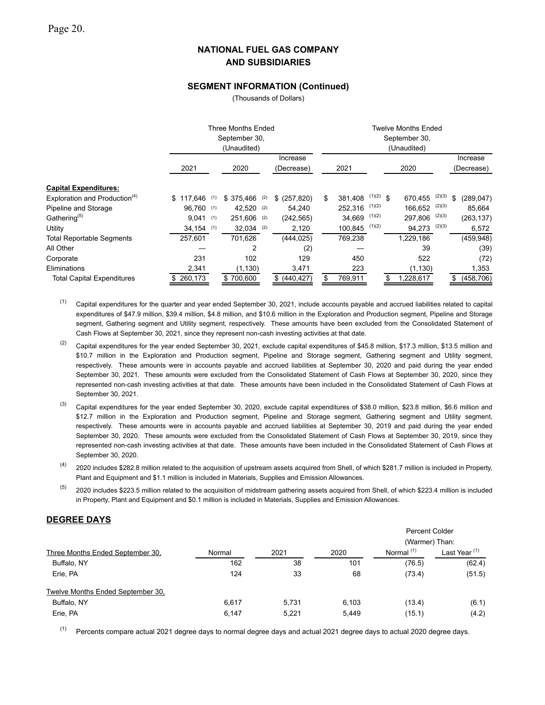### **SEGMENT INFORMATION (Continued)**

(Thousands of Dollars)

|                                           |               |     | Three Months Ended<br>September 30,<br>(Unaudited) |                        |               |             | <b>Twelve Months Ended</b><br>September 30,<br>(Unaudited) |        |                        |
|-------------------------------------------|---------------|-----|----------------------------------------------------|------------------------|---------------|-------------|------------------------------------------------------------|--------|------------------------|
|                                           | 2021          |     | 2020                                               | Increase<br>(Decrease) | 2021          |             | 2020                                                       |        | Increase<br>(Decrease) |
| <b>Capital Expenditures:</b>              |               |     |                                                    |                        |               |             |                                                            |        |                        |
| Exploration and Production <sup>(4)</sup> | 117.646<br>\$ | (1) | $$375.466$ (2)                                     | \$ (257,820)           | \$<br>381,408 | $(1)(2)$ \$ | 670.455                                                    | (2)(3) | \$<br>(289, 047)       |
| Pipeline and Storage                      | 96.760 (1)    |     | 42,520 (2)                                         | 54.240                 | 252.316       | (1)(2)      | 166,652                                                    | (2)(3) | 85,664                 |
| Gathering <sup>(5)</sup>                  | 9,041         | (1) | $251,606$ (2)                                      | (242, 565)             | 34,669        | (1)(2)      | 297,806                                                    | (2)(3) | (263, 137)             |
| Utility                                   | $34,154$ (1)  |     | $32,034$ (2)                                       | 2,120                  | 100,845       | (1)(2)      | 94,273                                                     | (2)(3) | 6,572                  |
| <b>Total Reportable Segments</b>          | 257,601       |     | 701,626                                            | (444, 025)             | 769,238       |             | 1,229,186                                                  |        | (459, 948)             |
| All Other                                 |               |     | $\overline{2}$                                     | (2)                    |               |             | 39                                                         |        | (39)                   |
| Corporate                                 | 231           |     | 102                                                | 129                    | 450           |             | 522                                                        |        | (72)                   |
| Eliminations                              | 2,341         |     | (1, 130)                                           | 3,471                  | 223           |             | (1, 130)                                                   |        | 1,353                  |
| <b>Total Capital Expenditures</b>         | \$260,173     |     | \$700,600                                          | \$ (440, 427)          | \$<br>769,911 |             | \$<br>1,228,617                                            |        | \$<br>(458, 706)       |

- $(1)$  Capital expenditures for the quarter and year ended September 30, 2021, include accounts payable and accrued liabilities related to capital expenditures of \$47.9 million, \$39.4 million, \$4.8 million, and \$10.6 million in the Exploration and Production segment, Pipeline and Storage segment, Gathering segment and Utility segment, respectively. These amounts have been excluded from the Consolidated Statement of Cash Flows at September 30, 2021, since they represent non-cash investing activities at that date.
- <sup>(2)</sup> Capital expenditures for the year ended September 30, 2021, exclude capital expenditures of \$45.8 million, \$17.3 million, \$13.5 million and \$10.7 million in the Exploration and Production segment, Pipeline and Storage segment, Gathering segment and Utility segment, respectively. These amounts were in accounts payable and accrued liabilities at September 30, 2020 and paid during the year ended September 30, 2021. These amounts were excluded from the Consolidated Statement of Cash Flows at September 30, 2020, since they represented non-cash investing activities at that date. These amounts have been included in the Consolidated Statement of Cash Flows at September 30, 2021.
- $^{(3)}$  Capital expenditures for the year ended September 30, 2020, exclude capital expenditures of \$38.0 million, \$23.8 million, \$6.6 million and \$12.7 million in the Exploration and Production segment, Pipeline and Storage segment, Gathering segment and Utility segment, respectively. These amounts were in accounts payable and accrued liabilities at September 30, 2019 and paid during the year ended September 30, 2020. These amounts were excluded from the Consolidated Statement of Cash Flows at September 30, 2019, since they represented non-cash investing activities at that date. These amounts have been included in the Consolidated Statement of Cash Flows at September 30, 2020.
- $^{(4)}$  2020 includes \$282.8 million related to the acquisition of upstream assets acquired from Shell, of which \$281.7 million is included in Property, Plant and Equipment and \$1.1 million is included in Materials, Supplies and Emission Allowances.
- $^{(5)}$  2020 includes \$223.5 million related to the acquisition of midstream gathering assets acquired from Shell, of which \$223.4 million is included in Property, Plant and Equipment and \$0.1 million is included in Materials, Supplies and Emission Allowances.

### **DEGREE DAYS**

|                                   |        |       |       | Percent Colder |                          |
|-----------------------------------|--------|-------|-------|----------------|--------------------------|
|                                   |        |       |       | (Warmer) Than: |                          |
| Three Months Ended September 30,  | Normal | 2021  | 2020  | Normal $(1)$   | Last Year <sup>(1)</sup> |
| Buffalo, NY                       | 162    | 38    | 101   | (76.5)         | (62.4)                   |
| Erie, PA                          | 124    | 33    | 68    | (73.4)         | (51.5)                   |
| Twelve Months Ended September 30, |        |       |       |                |                          |
| Buffalo, NY                       | 6.617  | 5.731 | 6,103 | (13.4)         | (6.1)                    |
| Erie, PA                          | 6.147  | 5.221 | 5.449 | (15.1)         | (4.2)                    |

 $(1)$  Percents compare actual 2021 degree days to normal degree days and actual 2021 degree days to actual 2020 degree days.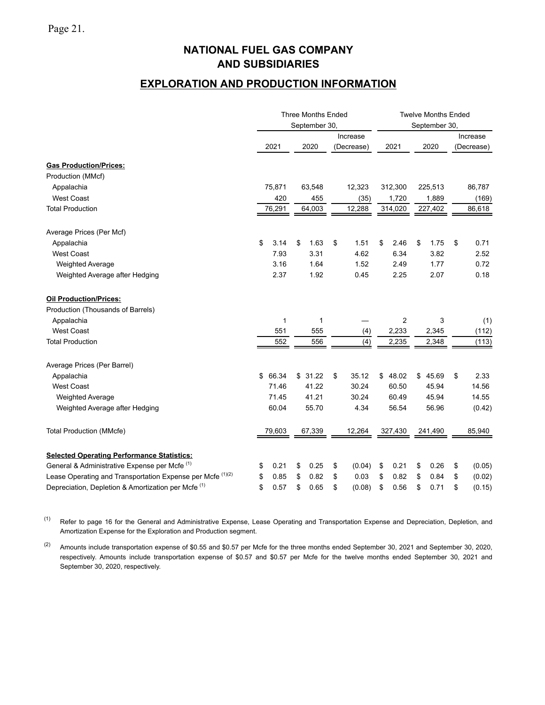# **EXPLORATION AND PRODUCTION INFORMATION**

|                                                                       |             | <b>Three Months Ended</b><br>September 30, |              |            | <b>Twelve Months Ended</b><br>September 30, |              |
|-----------------------------------------------------------------------|-------------|--------------------------------------------|--------------|------------|---------------------------------------------|--------------|
|                                                                       |             |                                            | Increase     |            |                                             | Increase     |
|                                                                       | 2021        | 2020                                       | (Decrease)   | 2021       | 2020                                        | (Decrease)   |
| <b>Gas Production/Prices:</b>                                         |             |                                            |              |            |                                             |              |
| Production (MMcf)                                                     |             |                                            |              |            |                                             |              |
| Appalachia                                                            | 75,871      | 63,548                                     | 12,323       | 312,300    | 225,513                                     | 86,787       |
| <b>West Coast</b>                                                     | 420         | 455                                        | (35)         | 1,720      | 1,889                                       | (169)        |
| <b>Total Production</b>                                               | 76,291      | 64,003                                     | 12,288       | 314,020    | 227,402                                     | 86,618       |
| Average Prices (Per Mcf)                                              |             |                                            |              |            |                                             |              |
| Appalachia                                                            | \$<br>3.14  | 1.63<br>\$                                 | \$<br>1.51   | \$<br>2.46 | \$<br>1.75                                  | \$<br>0.71   |
| <b>West Coast</b>                                                     | 7.93        | 3.31                                       | 4.62         | 6.34       | 3.82                                        | 2.52         |
| <b>Weighted Average</b>                                               | 3.16        | 1.64                                       | 1.52         | 2.49       | 1.77                                        | 0.72         |
| Weighted Average after Hedging                                        | 2.37        | 1.92                                       | 0.45         | 2.25       | 2.07                                        | 0.18         |
| <b>Oil Production/Prices:</b>                                         |             |                                            |              |            |                                             |              |
| Production (Thousands of Barrels)                                     |             |                                            |              |            |                                             |              |
| Appalachia                                                            | 1           | 1                                          |              | 2          | 3                                           | (1)          |
| <b>West Coast</b>                                                     | 551         | 555                                        | (4)          | 2,233      | 2,345                                       | (112)        |
| <b>Total Production</b>                                               | 552         | 556                                        | (4)          | 2,235      | 2,348                                       | (113)        |
| Average Prices (Per Barrel)                                           |             |                                            |              |            |                                             |              |
| Appalachia                                                            | \$<br>66.34 | \$31.22                                    | \$<br>35.12  | \$48.02    | 45.69<br>\$                                 | \$<br>2.33   |
| <b>West Coast</b>                                                     | 71.46       | 41.22                                      | 30.24        | 60.50      | 45.94                                       | 14.56        |
| <b>Weighted Average</b>                                               | 71.45       | 41.21                                      | 30.24        | 60.49      | 45.94                                       | 14.55        |
| Weighted Average after Hedging                                        | 60.04       | 55.70                                      | 4.34         | 56.54      | 56.96                                       | (0.42)       |
| <b>Total Production (MMcfe)</b>                                       | 79,603      | 67,339                                     | 12,264       | 327,430    | 241,490                                     | 85,940       |
| <b>Selected Operating Performance Statistics:</b>                     |             |                                            |              |            |                                             |              |
| General & Administrative Expense per Mcfe <sup>(1)</sup>              | 0.21<br>\$  | \$<br>0.25                                 | \$<br>(0.04) | \$<br>0.21 | \$<br>0.26                                  | \$<br>(0.05) |
| Lease Operating and Transportation Expense per Mcfe <sup>(1)(2)</sup> | \$<br>0.85  | 0.82<br>\$                                 | \$<br>0.03   | \$<br>0.82 | \$<br>0.84                                  | \$<br>(0.02) |
| Depreciation, Depletion & Amortization per Mcfe <sup>(1)</sup>        | \$<br>0.57  | \$<br>0.65                                 | \$<br>(0.08) | \$<br>0.56 | \$<br>0.71                                  | \$<br>(0.15) |

(1) Refer to page 16 for the General and Administrative Expense, Lease Operating and Transportation Expense and Depreciation, Depletion, and Amortization Expense for the Exploration and Production segment.

(2) Amounts include transportation expense of \$0.55 and \$0.57 per Mcfe for the three months ended September 30, 2021 and September 30, 2020, respectively. Amounts include transportation expense of \$0.57 and \$0.57 per Mcfe for the twelve months ended September 30, 2021 and September 30, 2020, respectively.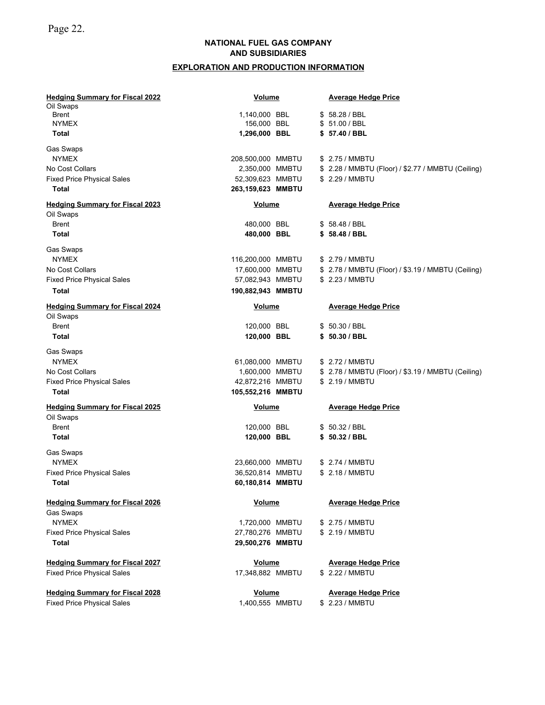# **EXPLORATION AND PRODUCTION INFORMATION**

| <b>Hedging Summary for Fiscal 2022</b> | <b>Volume</b>     |  | <b>Average Hedge Price</b>                         |
|----------------------------------------|-------------------|--|----------------------------------------------------|
| Oil Swaps                              |                   |  |                                                    |
| <b>Brent</b>                           | 1,140,000 BBL     |  | \$58.28 / BBL                                      |
| <b>NYMEX</b>                           | 156,000 BBL       |  | \$51.00 / BBL                                      |
| Total                                  | 1,296,000 BBL     |  | \$57.40 / BBL                                      |
| Gas Swaps                              |                   |  |                                                    |
| <b>NYMEX</b>                           | 208,500,000 MMBTU |  | \$ 2.75 / MMBTU                                    |
| No Cost Collars                        | 2,350,000 MMBTU   |  | \$ 2.28 / MMBTU (Floor) / \$2.77 / MMBTU (Ceiling) |
| <b>Fixed Price Physical Sales</b>      | 52,309,623 MMBTU  |  | \$ 2.29 / MMBTU                                    |
| <b>Total</b>                           | 263,159,623 MMBTU |  |                                                    |
| <b>Hedging Summary for Fiscal 2023</b> | Volume            |  | <b>Average Hedge Price</b>                         |
| Oil Swaps                              |                   |  |                                                    |
| Brent                                  | 480,000 BBL       |  | \$58.48 / BBL                                      |
| <b>Total</b>                           | 480,000 BBL       |  | \$58.48 / BBL                                      |
|                                        |                   |  |                                                    |
| Gas Swaps                              |                   |  |                                                    |
| <b>NYMEX</b>                           | 116,200,000 MMBTU |  | \$ 2.79 / MMBTU                                    |
| No Cost Collars                        | 17,600,000 MMBTU  |  | \$ 2.78 / MMBTU (Floor) / \$3.19 / MMBTU (Ceiling) |
| <b>Fixed Price Physical Sales</b>      | 57,082,943 MMBTU  |  | \$ 2.23 / MMBTU                                    |
| <b>Total</b>                           | 190,882,943 MMBTU |  |                                                    |
| <b>Hedging Summary for Fiscal 2024</b> | Volume            |  | <b>Average Hedge Price</b>                         |
| Oil Swaps                              |                   |  |                                                    |
| <b>Brent</b>                           | 120,000 BBL       |  | \$50.30 / BBL                                      |
| <b>Total</b>                           | 120,000 BBL       |  | \$50.30 / BBL                                      |
|                                        |                   |  |                                                    |
| Gas Swaps                              |                   |  |                                                    |
| <b>NYMEX</b>                           | 61,080,000 MMBTU  |  | \$ 2.72 / MMBTU                                    |
| No Cost Collars                        | 1,600,000 MMBTU   |  | \$ 2.78 / MMBTU (Floor) / \$3.19 / MMBTU (Ceiling) |
| <b>Fixed Price Physical Sales</b>      | 42,872,216 MMBTU  |  | \$ 2.19 / MMBTU                                    |
| <b>Total</b>                           | 105,552,216 MMBTU |  |                                                    |
| <b>Hedging Summary for Fiscal 2025</b> | <b>Volume</b>     |  | <b>Average Hedge Price</b>                         |
| Oil Swaps                              |                   |  |                                                    |
| <b>Brent</b>                           | 120,000 BBL       |  | \$50.32 / BBL                                      |
| <b>Total</b>                           | 120,000 BBL       |  | \$50.32 / BBL                                      |
|                                        |                   |  |                                                    |
| Gas Swaps                              |                   |  |                                                    |
| <b>NYMEX</b>                           | 23,660,000 MMBTU  |  | \$ 2.74 / MMBTU                                    |
| <b>Fixed Price Physical Sales</b>      | 36,520,814 MMBTU  |  | \$ 2.18 / MMBTU                                    |
| Total                                  | 60,180,814 MMBTU  |  |                                                    |
| <b>Hedging Summary for Fiscal 2026</b> | <b>Volume</b>     |  | <b>Average Hedge Price</b>                         |
| Gas Swaps                              |                   |  |                                                    |
| <b>NYMEX</b>                           | 1,720,000 MMBTU   |  | \$ 2.75 / MMBTU                                    |
| <b>Fixed Price Physical Sales</b>      | 27,780,276 MMBTU  |  | \$ 2.19 / MMBTU                                    |
| Total                                  | 29,500,276 MMBTU  |  |                                                    |
|                                        |                   |  |                                                    |
| <b>Hedging Summary for Fiscal 2027</b> | <b>Volume</b>     |  | <b>Average Hedge Price</b>                         |
| <b>Fixed Price Physical Sales</b>      | 17,348,882 MMBTU  |  | \$ 2.22 / MMBTU                                    |
| <b>Hedging Summary for Fiscal 2028</b> | <b>Volume</b>     |  | <b>Average Hedge Price</b>                         |
| <b>Fixed Price Physical Sales</b>      | 1,400,555 MMBTU   |  | \$ 2.23 / MMBTU                                    |
|                                        |                   |  |                                                    |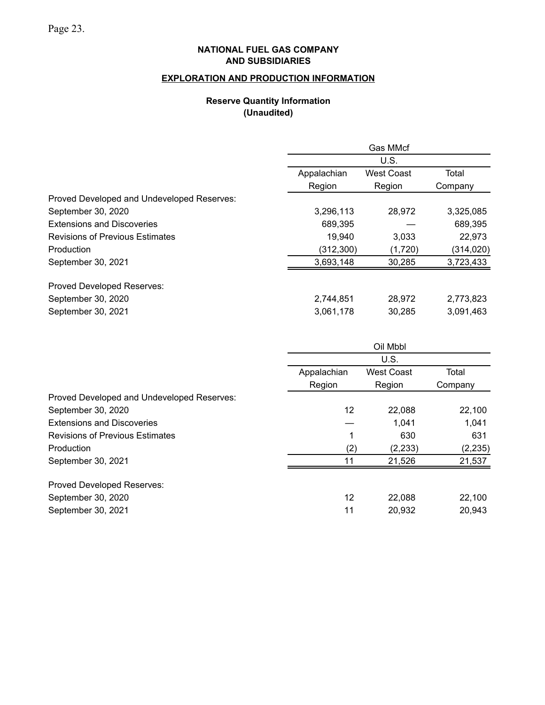# **EXPLORATION AND PRODUCTION INFORMATION**

# **Reserve Quantity Information (Unaudited)**

|                                            |             | Gas MMcf          |            |
|--------------------------------------------|-------------|-------------------|------------|
|                                            |             | U.S.              |            |
|                                            | Appalachian | <b>West Coast</b> | Total      |
|                                            | Region      | Region            | Company    |
| Proved Developed and Undeveloped Reserves: |             |                   |            |
| September 30, 2020                         | 3,296,113   | 28,972            | 3,325,085  |
| <b>Extensions and Discoveries</b>          | 689,395     |                   | 689,395    |
| <b>Revisions of Previous Estimates</b>     | 19,940      | 3,033             | 22,973     |
| Production                                 | (312, 300)  | (1,720)           | (314, 020) |
| September 30, 2021                         | 3,693,148   | 30,285            | 3,723,433  |
| Proved Developed Reserves:                 |             |                   |            |
| September 30, 2020                         | 2,744,851   | 28,972            | 2,773,823  |
| September 30, 2021                         | 3,061,178   | 30,285            | 3,091,463  |

|                                            | Oil Mbbl    |                   |          |  |  |  |  |  |  |
|--------------------------------------------|-------------|-------------------|----------|--|--|--|--|--|--|
|                                            |             | U.S.              |          |  |  |  |  |  |  |
|                                            | Appalachian | <b>West Coast</b> | Total    |  |  |  |  |  |  |
|                                            | Region      | Region            | Company  |  |  |  |  |  |  |
| Proved Developed and Undeveloped Reserves: |             |                   |          |  |  |  |  |  |  |
| September 30, 2020                         | 12          | 22,088            | 22,100   |  |  |  |  |  |  |
| <b>Extensions and Discoveries</b>          |             | 1,041             | 1,041    |  |  |  |  |  |  |
| <b>Revisions of Previous Estimates</b>     | 1           | 630               | 631      |  |  |  |  |  |  |
| Production                                 | (2)         | (2, 233)          | (2, 235) |  |  |  |  |  |  |
| September 30, 2021                         | 11          | 21,526            | 21,537   |  |  |  |  |  |  |
| Proved Developed Reserves:                 |             |                   |          |  |  |  |  |  |  |
| September 30, 2020                         | 12          | 22.088            | 22,100   |  |  |  |  |  |  |
| September 30, 2021                         | 11          | 20,932            | 20,943   |  |  |  |  |  |  |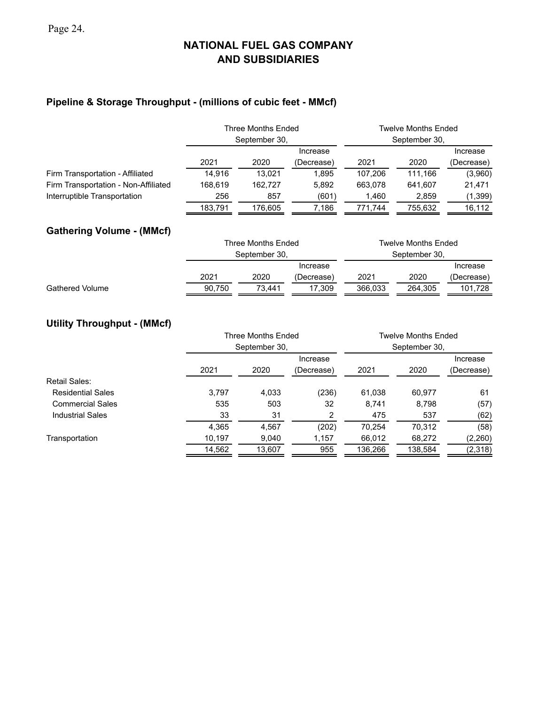# **Pipeline & Storage Throughput - (millions of cubic feet - MMcf)**

|                                      | Three Months Ended<br>September 30, |         |            |         | <b>Twelve Months Ended</b><br>September 30, |            |  |
|--------------------------------------|-------------------------------------|---------|------------|---------|---------------------------------------------|------------|--|
|                                      |                                     |         |            |         | Increase                                    |            |  |
|                                      | 2021                                | 2020    | (Decrease) | 2021    | 2020                                        | (Decrease) |  |
| Firm Transportation - Affiliated     | 14.916                              | 13.021  | 1.895      | 107.206 | 111.166                                     | (3,960)    |  |
| Firm Transportation - Non-Affiliated | 168.619                             | 162.727 | 5.892      | 663.078 | 641.607                                     | 21,471     |  |
| Interruptible Transportation         | 256                                 | 857     | (601)      | 1.460   | 2.859                                       | (1,399)    |  |
|                                      | 183.791                             | 176.605 | 7.186      | 771.744 | 755.632                                     | 16,112     |  |

# **Gathering Volume - (MMcf)**

|                        |        | Three Months Ended |            | Twelve Months Ended |          |            |  |  |  |  |
|------------------------|--------|--------------------|------------|---------------------|----------|------------|--|--|--|--|
|                        |        | September 30.      |            | September 30.       |          |            |  |  |  |  |
|                        |        |                    | Increase   |                     | Increase |            |  |  |  |  |
|                        | 2021   | 2020               | (Decrease) | 2021                | 2020     | (Decrease) |  |  |  |  |
| <b>Gathered Volume</b> | 90.750 | 73.441             | 17.309     | 366.033             | 264.305  | 101.728    |  |  |  |  |

# **Utility Throughput - (MMcf)**

|                          |        | Three Months Ended |            | Twelve Months Ended |         |            |  |  |  |  |
|--------------------------|--------|--------------------|------------|---------------------|---------|------------|--|--|--|--|
|                          |        | September 30,      |            | September 30,       |         |            |  |  |  |  |
|                          |        |                    | Increase   |                     |         | Increase   |  |  |  |  |
|                          | 2021   | 2020               | (Decrease) | 2021                | 2020    | (Decrease) |  |  |  |  |
| Retail Sales:            |        |                    |            |                     |         |            |  |  |  |  |
| <b>Residential Sales</b> | 3,797  | 4,033              | (236)      | 61,038              | 60,977  | 61         |  |  |  |  |
| <b>Commercial Sales</b>  | 535    | 503                | 32         | 8.741               | 8,798   | (57)       |  |  |  |  |
| <b>Industrial Sales</b>  | 33     | 31                 | 2          | 475                 | 537     | (62)       |  |  |  |  |
|                          | 4,365  | 4,567              | (202)      | 70.254              | 70.312  | (58)       |  |  |  |  |
| Transportation           | 10,197 | 9,040              | 1,157      | 66,012              | 68,272  | (2,260)    |  |  |  |  |
|                          | 14,562 | 13,607             | 955        | 136,266             | 138,584 | (2,318)    |  |  |  |  |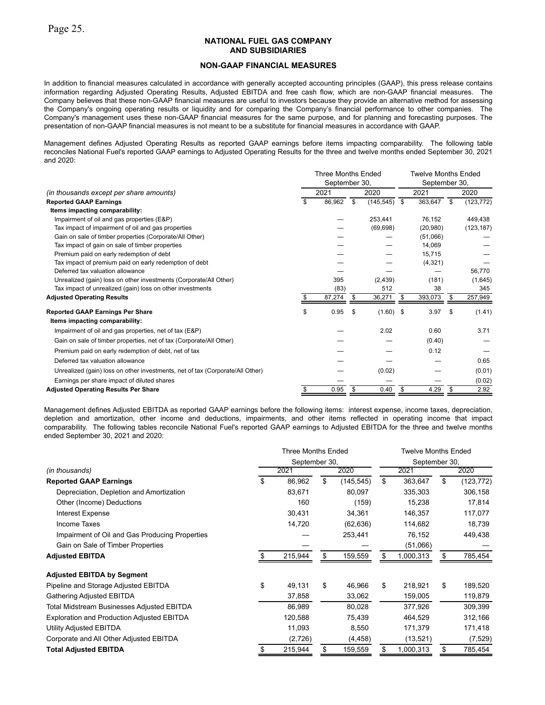#### **NON-GAAP FINANCIAL MEASURES**

In addition to financial measures calculated in accordance with generally accepted accounting principles (GAAP), this press release contains information regarding Adjusted Operating Results, Adjusted EBITDA and free cash flow, which are non-GAAP financial measures. The Company believes that these non-GAAP financial measures are useful to investors because they provide an alternative method for assessing the Company's ongoing operating results or liquidity and for comparing the Company's financial performance to other companies. The Company's management uses these non-GAAP financial measures for the same purpose, and for planning and forecasting purposes. The presentation of non-GAAP financial measures is not meant to be a substitute for financial measures in accordance with GAAP.

Management defines Adjusted Operating Results as reported GAAP earnings before items impacting comparability. The following table reconciles National Fuel's reported GAAP earnings to Adjusted Operating Results for the three and twelve months ended September 30, 2021 and 2020:

|                                                                               | <b>Three Months Ended</b><br><b>Twelve Months Ended</b><br>September 30,<br>September 30, |        |      |             |      |           |                          |            |  |
|-------------------------------------------------------------------------------|-------------------------------------------------------------------------------------------|--------|------|-------------|------|-----------|--------------------------|------------|--|
| (in thousands except per share amounts)                                       |                                                                                           | 2021   | 2020 |             |      | 2021      |                          | 2020       |  |
| <b>Reported GAAP Earnings</b>                                                 | \$                                                                                        | 86,962 | \$   | (145, 545)  | - \$ | 363,647   | $\overline{\mathcal{S}}$ | (123, 772) |  |
| Items impacting comparability:                                                |                                                                                           |        |      |             |      |           |                          |            |  |
| Impairment of oil and gas properties (E&P)                                    |                                                                                           |        |      | 253,441     |      | 76,152    |                          | 449,438    |  |
| Tax impact of impairment of oil and gas properties                            |                                                                                           |        |      | (69, 698)   |      | (20, 980) |                          | (123, 187) |  |
| Gain on sale of timber properties (Corporate/All Other)                       |                                                                                           |        |      |             |      | (51,066)  |                          |            |  |
| Tax impact of gain on sale of timber properties                               |                                                                                           |        |      |             |      | 14,069    |                          |            |  |
| Premium paid on early redemption of debt                                      |                                                                                           |        |      |             |      | 15,715    |                          |            |  |
| Tax impact of premium paid on early redemption of debt                        |                                                                                           |        |      |             |      | (4,321)   |                          |            |  |
| Deferred tax valuation allowance                                              |                                                                                           |        |      |             |      |           |                          | 56,770     |  |
| Unrealized (gain) loss on other investments (Corporate/All Other)             |                                                                                           | 395    |      | (2, 439)    |      | (181)     |                          | (1,645)    |  |
| Tax impact of unrealized (gain) loss on other investments                     |                                                                                           | (83)   |      | 512         |      | 38        |                          | 345        |  |
| <b>Adjusted Operating Results</b>                                             |                                                                                           | 87,274 | \$   | 36,271      | \$   | 393,073   | -\$                      | 257,949    |  |
| <b>Reported GAAP Earnings Per Share</b>                                       | \$                                                                                        | 0.95   | \$   | $(1.60)$ \$ |      | 3.97      | \$                       | (1.41)     |  |
| Items impacting comparability:                                                |                                                                                           |        |      |             |      |           |                          |            |  |
| Impairment of oil and gas properties, net of tax (E&P)                        |                                                                                           |        |      | 2.02        |      | 0.60      |                          | 3.71       |  |
| Gain on sale of timber properties, net of tax (Corporate/All Other)           |                                                                                           |        |      |             |      | (0.40)    |                          |            |  |
| Premium paid on early redemption of debt, net of tax                          |                                                                                           |        |      |             |      | 0.12      |                          |            |  |
| Deferred tax valuation allowance                                              |                                                                                           |        |      |             |      |           |                          | 0.65       |  |
| Unrealized (gain) loss on other investments, net of tax (Corporate/All Other) |                                                                                           |        |      | (0.02)      |      |           |                          | (0.01)     |  |
| Earnings per share impact of diluted shares                                   |                                                                                           |        |      |             |      |           |                          | (0.02)     |  |
| <b>Adjusted Operating Results Per Share</b>                                   | \$                                                                                        | 0.95   | \$   | 0.40        | \$   | 4.29      | - \$                     | 2.92       |  |

Management defines Adjusted EBITDA as reported GAAP earnings before the following items: interest expense, income taxes, depreciation, depletion and amortization, other income and deductions, impairments, and other items reflected in operating income that impact comparability. The following tables reconcile National Fuel's reported GAAP earnings to Adjusted EBITDA for the three and twelve months ended September 30, 2021 and 2020:

|                                                   | <b>Three Months Ended</b><br>September 30, |         |    |            |    | <b>Twelve Months Ended</b> |      |            |  |  |
|---------------------------------------------------|--------------------------------------------|---------|----|------------|----|----------------------------|------|------------|--|--|
|                                                   |                                            |         |    |            |    | September 30,              |      |            |  |  |
| (in thousands)                                    |                                            | 2021    |    | 2020       |    | 2021                       | 2020 |            |  |  |
| <b>Reported GAAP Earnings</b>                     | \$                                         | 86,962  | \$ | (145, 545) | \$ | 363,647                    | \$   | (123, 772) |  |  |
| Depreciation, Depletion and Amortization          |                                            | 83,671  |    | 80,097     |    | 335,303                    |      | 306,158    |  |  |
| Other (Income) Deductions                         |                                            | 160     |    | (159)      |    | 15,238                     |      | 17,814     |  |  |
| <b>Interest Expense</b>                           |                                            | 30,431  |    | 34,361     |    | 146,357                    |      | 117,077    |  |  |
| Income Taxes                                      |                                            | 14,720  |    | (62, 636)  |    | 114,682                    |      | 18,739     |  |  |
| Impairment of Oil and Gas Producing Properties    |                                            |         |    | 253,441    |    | 76,152                     |      | 449,438    |  |  |
| Gain on Sale of Timber Properties                 |                                            |         |    |            |    | (51,066)                   |      |            |  |  |
| <b>Adjusted EBITDA</b>                            |                                            | 215,944 | S  | 159,559    | S  | 1,000,313                  | S    | 785,454    |  |  |
| <b>Adjusted EBITDA by Segment</b>                 |                                            |         |    |            |    |                            |      |            |  |  |
| Pipeline and Storage Adjusted EBITDA              | \$                                         | 49,131  | \$ | 46,966     | \$ | 218,921                    | \$   | 189,520    |  |  |
| Gathering Adjusted EBITDA                         |                                            | 37,858  |    | 33,062     |    | 159,005                    |      | 119,879    |  |  |
| Total Midstream Businesses Adjusted EBITDA        |                                            | 86,989  |    | 80,028     |    | 377,926                    |      | 309,399    |  |  |
| <b>Exploration and Production Adjusted EBITDA</b> |                                            | 120,588 |    | 75,439     |    | 464,529                    |      | 312,166    |  |  |
| Utility Adjusted EBITDA                           |                                            | 11,093  |    | 8,550      |    | 171,379                    |      | 171,418    |  |  |
| Corporate and All Other Adjusted EBITDA           |                                            | (2,726) |    | (4, 458)   |    | (13, 521)                  |      | (7, 529)   |  |  |
| <b>Total Adjusted EBITDA</b>                      |                                            | 215,944 |    | 159,559    |    | 1,000,313                  |      | 785,454    |  |  |